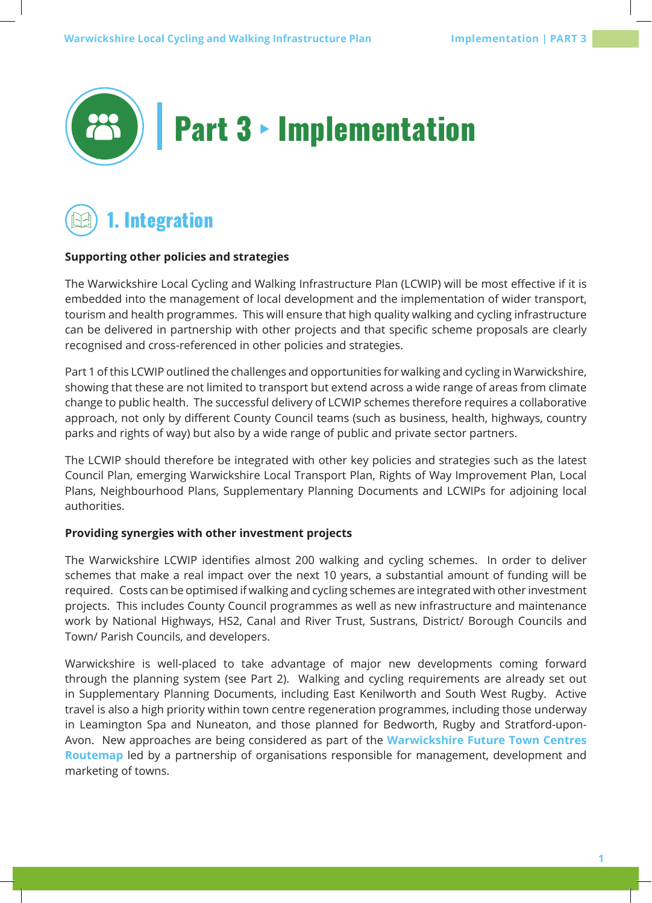



#### **Supporting other policies and strategies**

The Warwickshire Local Cycling and Walking Infrastructure Plan (LCWIP) will be most effective if it is embedded into the management of local development and the implementation of wider transport, tourism and health programmes. This will ensure that high quality walking and cycling infrastructure can be delivered in partnership with other projects and that specific scheme proposals are clearly recognised and cross-referenced in other policies and strategies.

Part 1 of this LCWIP outlined the challenges and opportunities for walking and cycling in Warwickshire, showing that these are not limited to transport but extend across a wide range of areas from climate change to public health. The successful delivery of LCWIP schemes therefore requires a collaborative approach, not only by different County Council teams (such as business, health, highways, country parks and rights of way) but also by a wide range of public and private sector partners.

The LCWIP should therefore be integrated with other key policies and strategies such as the latest Council Plan, emerging Warwickshire Local Transport Plan, Rights of Way Improvement Plan, Local Plans, Neighbourhood Plans, Supplementary Planning Documents and LCWIPs for adjoining local authorities.

#### **Providing synergies with other investment projects**

The Warwickshire LCWIP identifies almost 200 walking and cycling schemes. In order to deliver schemes that make a real impact over the next 10 years, a substantial amount of funding will be required. Costs can be optimised if walking and cycling schemes are integrated with other investment projects. This includes County Council programmes as well as new infrastructure and maintenance work by National Highways, HS2, Canal and River Trust, Sustrans, District/ Borough Councils and Town/ Parish Councils, and developers.

Warwickshire is well-placed to take advantage of major new developments coming forward through the planning system (see Part 2). Walking and cycling requirements are already set out in Supplementary Planning Documents, including East Kenilworth and South West Rugby. Active travel is also a high priority within town centre regeneration programmes, including those underway in Leamington Spa and Nuneaton, and those planned for Bedworth, Rugby and Stratford-upon-Avon. New approaches are being considered as part of the **Warwickshire Future Town Centres Routemap** led by a partnership of organisations responsible for management, development and marketing of towns.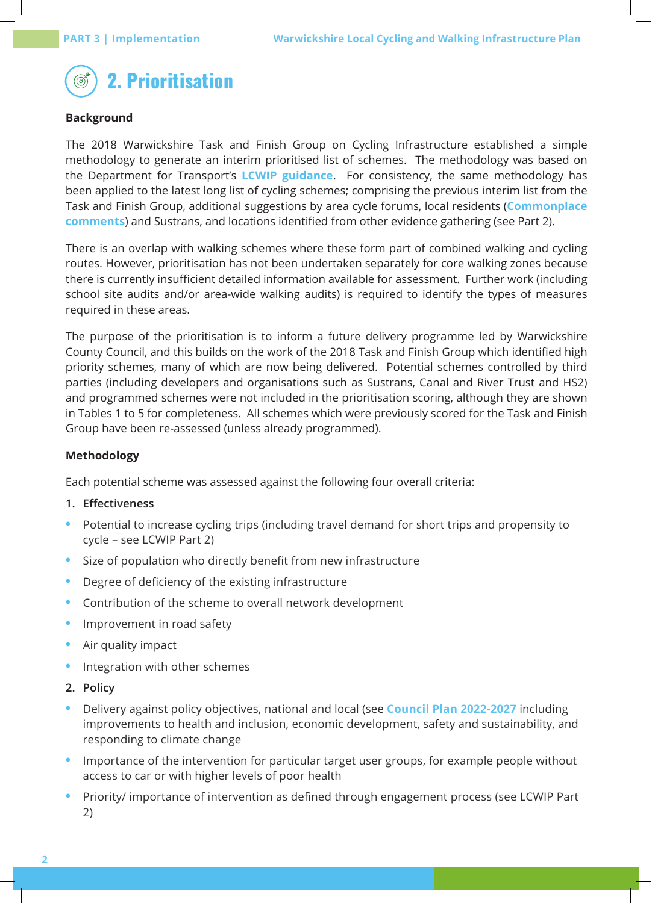

## **Background**

The 2018 Warwickshire Task and Finish Group on Cycling Infrastructure established a simple methodology to generate an interim prioritised list of schemes. The methodology was based on the Department for Transport's **LCWIP guidance**. For consistency, the same methodology has been applied to the latest long list of cycling schemes; comprising the previous interim list from the Task and Finish Group, additional suggestions by area cycle forums, local residents (**Commonplace comments**) and Sustrans, and locations identified from other evidence gathering (see Part 2).

There is an overlap with walking schemes where these form part of combined walking and cycling routes. However, prioritisation has not been undertaken separately for core walking zones because there is currently insufficient detailed information available for assessment. Further work (including school site audits and/or area-wide walking audits) is required to identify the types of measures required in these areas.

The purpose of the prioritisation is to inform a future delivery programme led by Warwickshire County Council, and this builds on the work of the 2018 Task and Finish Group which identified high priority schemes, many of which are now being delivered. Potential schemes controlled by third parties (including developers and organisations such as Sustrans, Canal and River Trust and HS2) and programmed schemes were not included in the prioritisation scoring, although they are shown in Tables 1 to 5 for completeness. All schemes which were previously scored for the Task and Finish Group have been re-assessed (unless already programmed).

#### **Methodology**

Each potential scheme was assessed against the following four overall criteria:

#### **1. Effectiveness**

- **•** Potential to increase cycling trips (including travel demand for short trips and propensity to cycle – see LCWIP Part 2)
- **•** Size of population who directly benefit from new infrastructure
- **•** Degree of deficiency of the existing infrastructure
- **•** Contribution of the scheme to overall network development
- **•** Improvement in road safety
- **•** Air quality impact
- **•** Integration with other schemes
- **2. Policy**
- **•** Delivery against policy objectives, national and local (see **Council Plan 2022-2027** including improvements to health and inclusion, economic development, safety and sustainability, and responding to climate change
- **•** Importance of the intervention for particular target user groups, for example people without access to car or with higher levels of poor health
- **•** Priority/ importance of intervention as defined through engagement process (see LCWIP Part 2)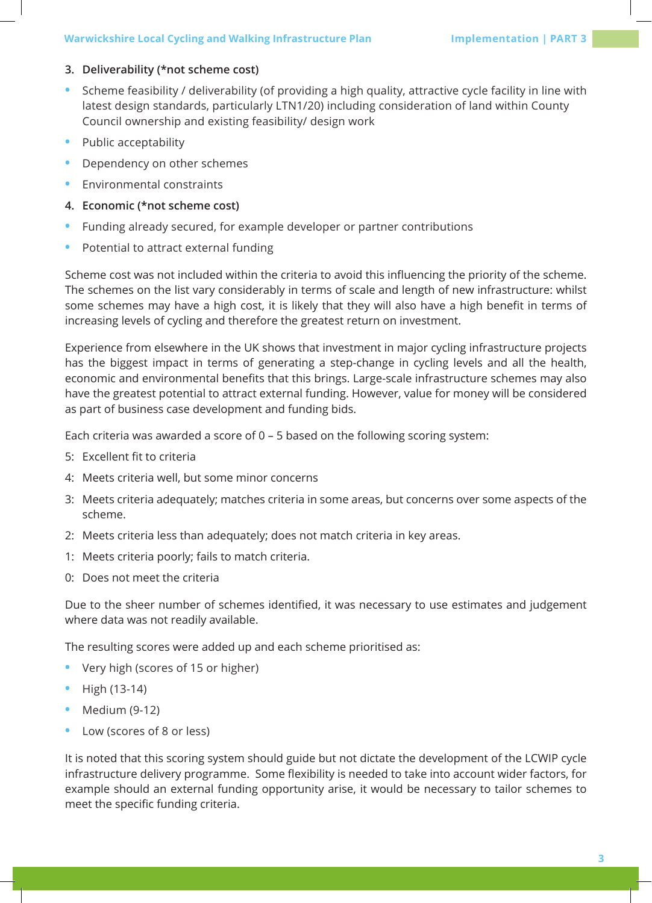## **3. Deliverability (\*not scheme cost)**

- **•** Scheme feasibility / deliverability (of providing a high quality, attractive cycle facility in line with latest design standards, particularly LTN1/20) including consideration of land within County Council ownership and existing feasibility/ design work
- **•** Public acceptability
- **•** Dependency on other schemes
- **•** Environmental constraints
- **4. Economic (\*not scheme cost)**
- **•** Funding already secured, for example developer or partner contributions
- **•** Potential to attract external funding

Scheme cost was not included within the criteria to avoid this influencing the priority of the scheme. The schemes on the list vary considerably in terms of scale and length of new infrastructure: whilst some schemes may have a high cost, it is likely that they will also have a high benefit in terms of increasing levels of cycling and therefore the greatest return on investment.

Experience from elsewhere in the UK shows that investment in major cycling infrastructure projects has the biggest impact in terms of generating a step-change in cycling levels and all the health, economic and environmental benefits that this brings. Large-scale infrastructure schemes may also have the greatest potential to attract external funding. However, value for money will be considered as part of business case development and funding bids.

Each criteria was awarded a score of 0 – 5 based on the following scoring system:

- 5: Excellent fit to criteria
- 4: Meets criteria well, but some minor concerns
- 3: Meets criteria adequately; matches criteria in some areas, but concerns over some aspects of the scheme.
- 2: Meets criteria less than adequately; does not match criteria in key areas.
- 1: Meets criteria poorly; fails to match criteria.
- 0: Does not meet the criteria

Due to the sheer number of schemes identified, it was necessary to use estimates and judgement where data was not readily available.

The resulting scores were added up and each scheme prioritised as:

- **•** Very high (scores of 15 or higher)
- **•** High (13-14)
- **•** Medium (9-12)
- **•** Low (scores of 8 or less)

It is noted that this scoring system should guide but not dictate the development of the LCWIP cycle infrastructure delivery programme. Some flexibility is needed to take into account wider factors, for example should an external funding opportunity arise, it would be necessary to tailor schemes to meet the specific funding criteria.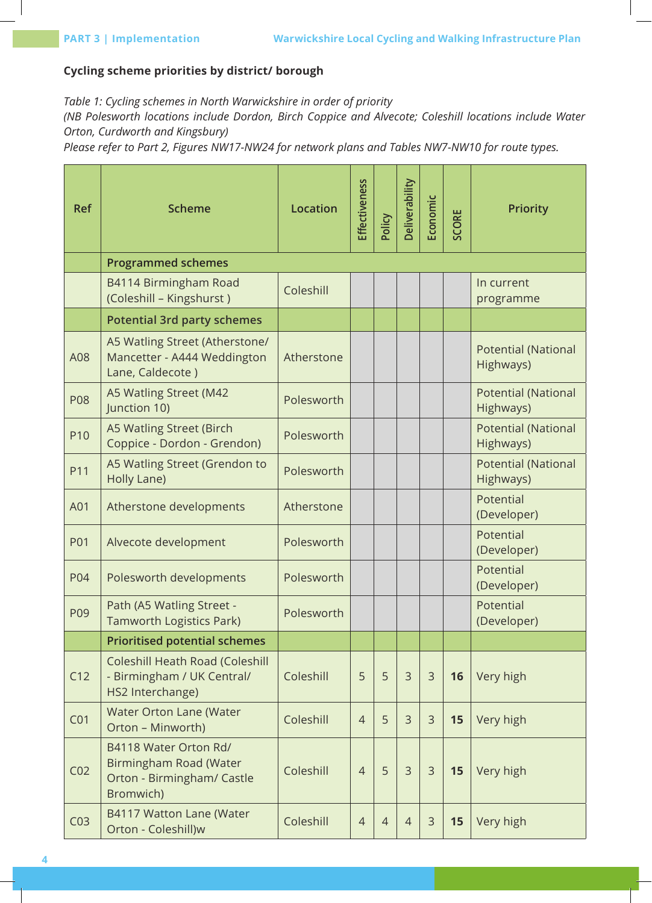## **Cycling scheme priorities by district/ borough**

*Table 1: Cycling schemes in North Warwickshire in order of priority*

*(NB Polesworth locations include Dordon, Birch Coppice and Alvecote; Coleshill locations include Water Orton, Curdworth and Kingsbury)*

*Please refer to Part 2, Figures NW17-NW24 for network plans and Tables NW7-NW10 for route types.*

| <b>Ref</b>      | <b>Scheme</b>                                                                              | <b>Location</b> | Effectiveness  | Policy         | Deliverability | Economic       | SCORE | <b>Priority</b>                         |
|-----------------|--------------------------------------------------------------------------------------------|-----------------|----------------|----------------|----------------|----------------|-------|-----------------------------------------|
|                 | <b>Programmed schemes</b>                                                                  |                 |                |                |                |                |       |                                         |
|                 | B4114 Birmingham Road<br>(Coleshill - Kingshurst)                                          | Coleshill       |                |                |                |                |       | In current<br>programme                 |
|                 | <b>Potential 3rd party schemes</b>                                                         |                 |                |                |                |                |       |                                         |
| A08             | A5 Watling Street (Atherstone/<br>Mancetter - A444 Weddington<br>Lane, Caldecote)          | Atherstone      |                |                |                |                |       | <b>Potential (National</b><br>Highways) |
| <b>P08</b>      | A5 Watling Street (M42<br>Junction 10)                                                     | Polesworth      |                |                |                |                |       | <b>Potential (National</b><br>Highways) |
| P10             | A5 Watling Street (Birch<br>Coppice - Dordon - Grendon)                                    | Polesworth      |                |                |                |                |       | <b>Potential (National</b><br>Highways) |
| P11             | A5 Watling Street (Grendon to<br>Holly Lane)                                               | Polesworth      |                |                |                |                |       | <b>Potential (National</b><br>Highways) |
| A01             | Atherstone developments                                                                    | Atherstone      |                |                |                |                |       | Potential<br>(Developer)                |
| <b>P01</b>      | Alvecote development                                                                       | Polesworth      |                |                |                |                |       | Potential<br>(Developer)                |
| P04             | Polesworth developments                                                                    | Polesworth      |                |                |                |                |       | Potential<br>(Developer)                |
| P09             | Path (A5 Watling Street -<br>Tamworth Logistics Park)                                      | Polesworth      |                |                |                |                |       | Potential<br>(Developer)                |
|                 | <b>Prioritised potential schemes</b>                                                       |                 |                |                |                |                |       |                                         |
| C12             | Coleshill Heath Road (Coleshill<br>- Birmingham / UK Central/<br>HS2 Interchange)          | Coleshill       | 5              | 5              | $\overline{3}$ | 3              | 16    | Very high                               |
| CO <sub>1</sub> | Water Orton Lane (Water<br>Orton - Minworth)                                               | Coleshill       | $\overline{4}$ | 5              | $\overline{3}$ | $\overline{3}$ | 15    | Very high                               |
| CO <sub>2</sub> | B4118 Water Orton Rd/<br>Birmingham Road (Water<br>Orton - Birmingham/ Castle<br>Bromwich) | Coleshill       | $\overline{4}$ | 5              | $\overline{3}$ | $\mathcal{E}$  | 15    | Very high                               |
| CO <sub>3</sub> | B4117 Watton Lane (Water<br>Orton - Coleshill)w                                            | Coleshill       | $\overline{4}$ | $\overline{4}$ | $\overline{4}$ | $\mathcal{E}$  | 15    | Very high                               |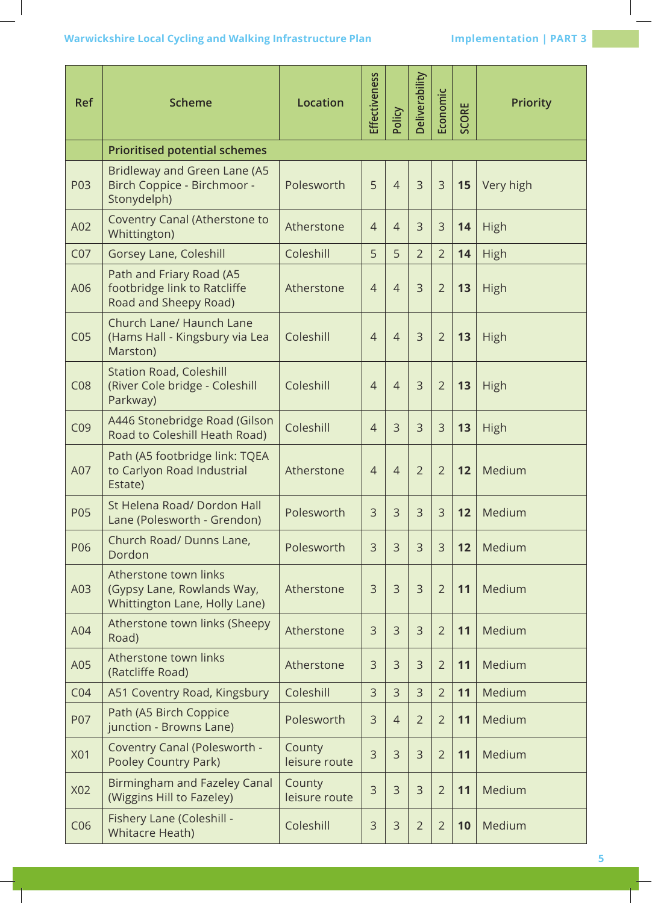## **Warwickshire Local Cycling and Walking Infrastructure Plan Marwickshire Local Cycling and Walking Infrastructure Plan Margin Strumper Annual PART 3**

| <b>Ref</b>      | <b>Scheme</b>                                                                        | <b>Location</b>         | Effectiveness  | Policy         | Deliverability | Economic       | SCORE | <b>Priority</b> |
|-----------------|--------------------------------------------------------------------------------------|-------------------------|----------------|----------------|----------------|----------------|-------|-----------------|
|                 | <b>Prioritised potential schemes</b>                                                 |                         |                |                |                |                |       |                 |
| P03             | Bridleway and Green Lane (A5<br>Birch Coppice - Birchmoor -<br>Stonydelph)           | Polesworth              | 5              | $\overline{4}$ | 3              | $\mathsf{3}$   | 15    | Very high       |
| A02             | Coventry Canal (Atherstone to<br>Whittington)                                        | Atherstone              | $\overline{4}$ | $\overline{4}$ | 3              | $\mathsf{3}$   | 14    | High            |
| CO <sub>7</sub> | Gorsey Lane, Coleshill                                                               | Coleshill               | 5              | 5              | $\overline{2}$ | $\overline{2}$ | 14    | High            |
| A06             | Path and Friary Road (A5<br>footbridge link to Ratcliffe<br>Road and Sheepy Road)    | Atherstone              | $\overline{4}$ | $\overline{4}$ | 3              | $\overline{2}$ | 13    | High            |
| CO <sub>5</sub> | Church Lane/ Haunch Lane<br>(Hams Hall - Kingsbury via Lea<br>Marston)               | Coleshill               | $\overline{4}$ | $\overline{4}$ | 3              | $\overline{2}$ | 13    | High            |
| CO8             | <b>Station Road, Coleshill</b><br>(River Cole bridge - Coleshill<br>Parkway)         | Coleshill               | $\overline{4}$ | $\overline{4}$ | 3              | $\overline{2}$ | 13    | High            |
| CO <sub>9</sub> | A446 Stonebridge Road (Gilson<br>Road to Coleshill Heath Road)                       | Coleshill               | $\overline{4}$ | 3              | $\overline{3}$ | $\overline{3}$ | 13    | High            |
| A07             | Path (A5 footbridge link: TQEA<br>to Carlyon Road Industrial<br>Estate)              | Atherstone              | $\overline{4}$ | $\overline{4}$ | $\overline{2}$ | $\overline{2}$ | 12    | Medium          |
| <b>P05</b>      | St Helena Road/ Dordon Hall<br>Lane (Polesworth - Grendon)                           | Polesworth              | 3              | 3              | 3              | 3              | 12    | Medium          |
| P06             | Church Road/ Dunns Lane,<br>Dordon                                                   | Polesworth              | 3              | $\overline{3}$ | 3              | $\overline{3}$ | 12    | Medium          |
| A03             | Atherstone town links<br>(Gypsy Lane, Rowlands Way,<br>Whittington Lane, Holly Lane) | Atherstone              | $\mathsf{3}$   | $\overline{3}$ | 3              | $\overline{2}$ | 11    | Medium          |
| A04             | Atherstone town links (Sheepy<br>Road)                                               | Atherstone              | 3              | $\overline{3}$ | 3              | $\overline{2}$ | 11    | Medium          |
| A05             | Atherstone town links<br>(Ratcliffe Road)                                            | Atherstone              | 3              | $\overline{3}$ | 3              | $\overline{2}$ | 11    | Medium          |
| CO <sub>4</sub> | A51 Coventry Road, Kingsbury                                                         | Coleshill               | 3              | 3              | $\overline{3}$ | $\overline{2}$ | 11    | Medium          |
| P07             | Path (A5 Birch Coppice<br>junction - Browns Lane)                                    | Polesworth              | 3              | $\overline{4}$ | $\overline{2}$ | $\overline{2}$ | 11    | Medium          |
| <b>X01</b>      | Coventry Canal (Polesworth -<br><b>Pooley Country Park)</b>                          | County<br>leisure route | 3              | 3              | 3              | $\overline{2}$ | 11    | Medium          |
| X02             | <b>Birmingham and Fazeley Canal</b><br>(Wiggins Hill to Fazeley)                     | County<br>leisure route | 3              | 3              | 3              | $\overline{2}$ | 11    | Medium          |
| C <sub>06</sub> | Fishery Lane (Coleshill -<br><b>Whitacre Heath)</b>                                  | Coleshill               | 3              | 3              | $\overline{2}$ | $\overline{2}$ | 10    | Medium          |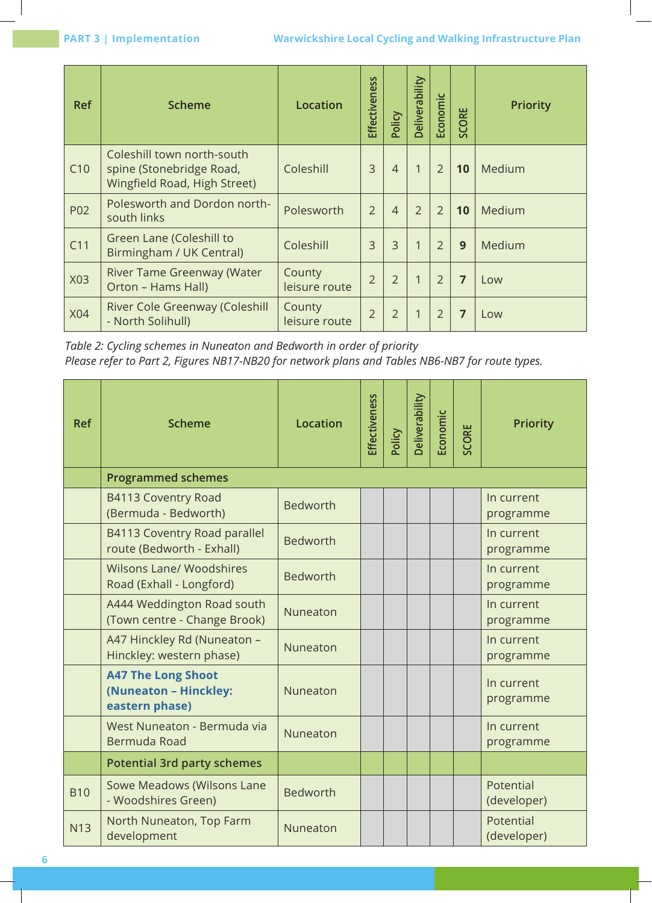| <b>Ref</b> | <b>Scheme</b>                                                                          | Location                | Effectiveness  | Policy         | Deliverability          | Economic       | <b>CORE</b> | <b>Priority</b> |
|------------|----------------------------------------------------------------------------------------|-------------------------|----------------|----------------|-------------------------|----------------|-------------|-----------------|
| C10        | Coleshill town north-south<br>spine (Stonebridge Road,<br>Wingfield Road, High Street) | Coleshill               | 3              | $\overline{4}$ | $\mathbf{1}$            | $\overline{2}$ | 10          | Medium          |
| P02        | Polesworth and Dordon north-<br>south links                                            | Polesworth              | $\overline{2}$ | $\overline{4}$ | $\overline{2}$          | $\overline{2}$ | 10          | Medium          |
| C11        | Green Lane (Coleshill to<br>Birmingham / UK Central)                                   | Coleshill               | $\overline{3}$ | $\overline{3}$ | $\mathbf{1}$            | $\overline{2}$ | 9           | Medium          |
| X03        | River Tame Greenway (Water<br>Orton - Hams Hall)                                       | County<br>leisure route | $\overline{2}$ | $\overline{2}$ | $\overline{\mathbf{1}}$ | $\overline{2}$ | 7           | Low             |
| <b>X04</b> | River Cole Greenway (Coleshill<br>- North Solihull)                                    | County<br>leisure route | $\overline{2}$ | $\overline{2}$ | 1                       | $\overline{2}$ | 7           | Low             |

*Table 2: Cycling schemes in Nuneaton and Bedworth in order of priority Please refer to Part 2, Figures NB17-NB20 for network plans and Tables NB6-NB7 for route types.*

| <b>Ref</b> | <b>Scheme</b>                                                        | <b>Location</b> | Effectiveness | Policy | <b>Deliverability</b> | Economic | SCORE | <b>Priority</b>          |
|------------|----------------------------------------------------------------------|-----------------|---------------|--------|-----------------------|----------|-------|--------------------------|
|            | <b>Programmed schemes</b>                                            |                 |               |        |                       |          |       |                          |
|            | B4113 Coventry Road<br>(Bermuda - Bedworth)                          | <b>Bedworth</b> |               |        |                       |          |       | In current<br>programme  |
|            | B4113 Coventry Road parallel<br>route (Bedworth - Exhall)            | <b>Bedworth</b> |               |        |                       |          |       | In current<br>programme  |
|            | <b>Wilsons Lane/ Woodshires</b><br>Road (Exhall - Longford)          | <b>Bedworth</b> |               |        |                       |          |       | In current<br>programme  |
|            | A444 Weddington Road south<br>(Town centre - Change Brook)           | Nuneaton        |               |        |                       |          |       | In current<br>programme  |
|            | A47 Hinckley Rd (Nuneaton -<br>Hinckley: western phase)              | Nuneaton        |               |        |                       |          |       | In current<br>programme  |
|            | <b>A47 The Long Shoot</b><br>(Nuneaton - Hinckley:<br>eastern phase) | Nuneaton        |               |        |                       |          |       | In current<br>programme  |
|            | West Nuneaton - Bermuda via<br>Bermuda Road                          | Nuneaton        |               |        |                       |          |       | In current<br>programme  |
|            | <b>Potential 3rd party schemes</b>                                   |                 |               |        |                       |          |       |                          |
| <b>B10</b> | Sowe Meadows (Wilsons Lane<br>- Woodshires Green)                    | <b>Bedworth</b> |               |        |                       |          |       | Potential<br>(developer) |
| <b>N13</b> | North Nuneaton, Top Farm<br>development                              | Nuneaton        |               |        |                       |          |       | Potential<br>(developer) |

**6**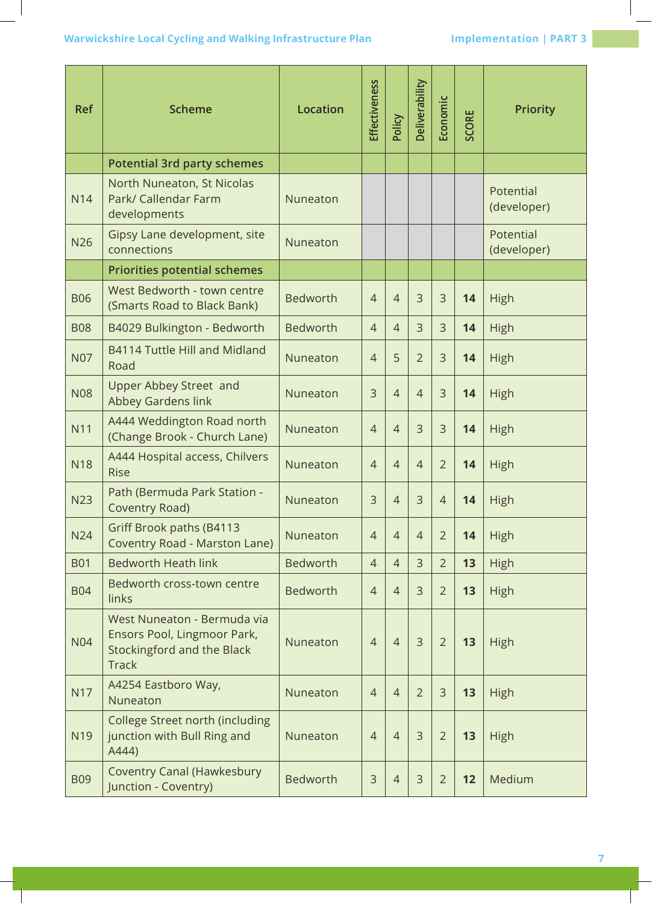| <b>Ref</b> | <b>Scheme</b>                                                                                                   | <b>Location</b> | Effectiveness  | Policy         | Deliverability | Economic       | SCORE | <b>Priority</b>          |
|------------|-----------------------------------------------------------------------------------------------------------------|-----------------|----------------|----------------|----------------|----------------|-------|--------------------------|
|            | <b>Potential 3rd party schemes</b>                                                                              |                 |                |                |                |                |       |                          |
| <b>N14</b> | North Nuneaton, St Nicolas<br>Park/ Callendar Farm<br>developments                                              | Nuneaton        |                |                |                |                |       | Potential<br>(developer) |
| <b>N26</b> | Gipsy Lane development, site<br>connections                                                                     | Nuneaton        |                |                |                |                |       | Potential<br>(developer) |
|            | <b>Priorities potential schemes</b>                                                                             |                 |                |                |                |                |       |                          |
| <b>B06</b> | West Bedworth - town centre<br>(Smarts Road to Black Bank)                                                      | <b>Bedworth</b> | $\overline{4}$ | $\overline{4}$ | $\overline{3}$ | 3              | 14    | High                     |
| <b>B08</b> | B4029 Bulkington - Bedworth                                                                                     | <b>Bedworth</b> | $\overline{4}$ | $\overline{4}$ | 3              | $\overline{3}$ | 14    | High                     |
| <b>N07</b> | B4114 Tuttle Hill and Midland<br>Road                                                                           | Nuneaton        | $\overline{4}$ | 5              | $\overline{2}$ | 3              | 14    | High                     |
| <b>N08</b> | Upper Abbey Street and<br>Abbey Gardens link                                                                    | Nuneaton        | 3              | $\overline{4}$ | $\overline{4}$ | 3              | 14    | High                     |
| <b>N11</b> | A444 Weddington Road north<br>(Change Brook - Church Lane)                                                      | Nuneaton        | $\overline{4}$ | $\overline{4}$ | $\overline{3}$ | 3              | 14    | High                     |
| <b>N18</b> | A444 Hospital access, Chilvers<br><b>Rise</b>                                                                   | Nuneaton        | $\overline{4}$ | $\overline{4}$ | $\overline{4}$ | $\overline{2}$ | 14    | High                     |
| <b>N23</b> | Path (Bermuda Park Station -<br>Coventry Road)                                                                  | Nuneaton        | 3              | $\overline{4}$ | $\overline{3}$ | $\overline{4}$ | 14    | High                     |
| <b>N24</b> | Griff Brook paths (B4113<br>Coventry Road - Marston Lane)                                                       | Nuneaton        | 4              | $\overline{4}$ | $\overline{4}$ | $\overline{2}$ | 14    | High                     |
| <b>B01</b> | <b>Bedworth Heath link</b>                                                                                      | <b>Bedworth</b> | $\overline{4}$ | $\overline{4}$ | $\overline{3}$ | $\overline{2}$ | 13    | High                     |
| <b>B04</b> | Bedworth cross-town centre<br>links                                                                             | <b>Bedworth</b> | $\overline{4}$ | $\overline{4}$ | 3              | $\overline{2}$ | 13    | High                     |
| <b>N04</b> | West Nuneaton - Bermuda via<br>Ensors Pool, Lingmoor Park,<br><b>Stockingford and the Black</b><br><b>Track</b> | Nuneaton        | $\overline{4}$ | $\overline{4}$ | $\overline{3}$ | $\overline{2}$ | 13    | High                     |
| <b>N17</b> | A4254 Eastboro Way,<br>Nuneaton                                                                                 | Nuneaton        | $\overline{4}$ | $\overline{4}$ | $\overline{2}$ | 3              | 13    | High                     |
| N19        | College Street north (including<br>junction with Bull Ring and<br>A444)                                         | Nuneaton        | $\overline{4}$ | $\overline{4}$ | 3              | $\overline{2}$ | 13    | High                     |
| <b>B09</b> | <b>Coventry Canal (Hawkesbury</b><br>Junction - Coventry)                                                       | <b>Bedworth</b> | $\mathsf{3}$   | $\overline{4}$ | 3              | $\overline{2}$ | 12    | Medium                   |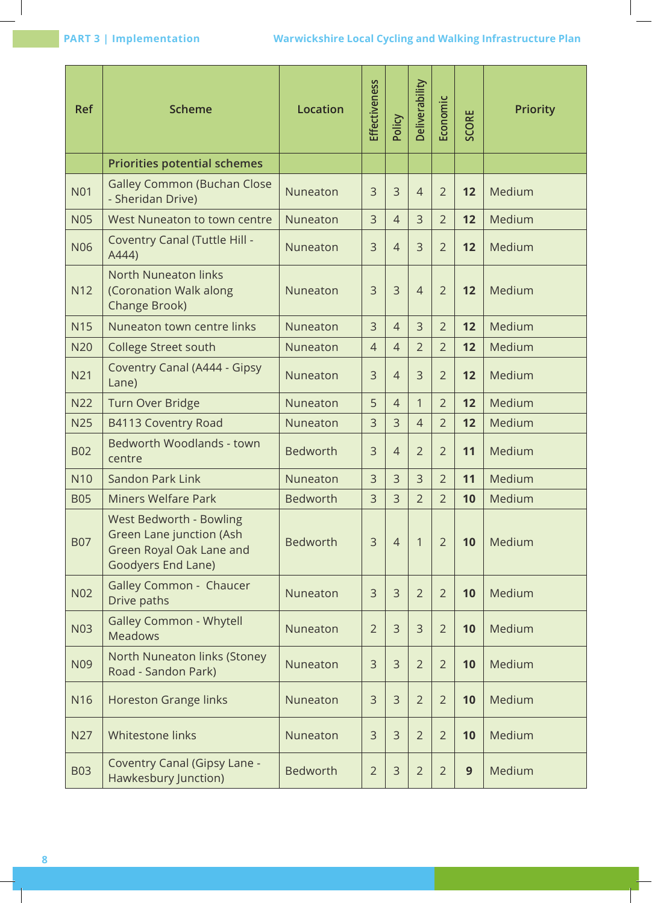| <b>Ref</b> | <b>Scheme</b>                                                                                         | <b>Location</b> | Effectiveness  | Policy         | Deliverability | Economic       | SCORE | <b>Priority</b> |
|------------|-------------------------------------------------------------------------------------------------------|-----------------|----------------|----------------|----------------|----------------|-------|-----------------|
|            | <b>Priorities potential schemes</b>                                                                   |                 |                |                |                |                |       |                 |
| <b>N01</b> | <b>Galley Common (Buchan Close</b><br>- Sheridan Drive)                                               | Nuneaton        | 3              | 3              | $\overline{4}$ | $\overline{2}$ | 12    | Medium          |
| <b>N05</b> | West Nuneaton to town centre                                                                          | Nuneaton        | $\overline{3}$ | $\overline{4}$ | $\overline{3}$ | $\overline{2}$ | 12    | Medium          |
| <b>N06</b> | Coventry Canal (Tuttle Hill -<br>A444)                                                                | Nuneaton        | 3              | $\overline{4}$ | 3              | $\overline{2}$ | 12    | Medium          |
| <b>N12</b> | <b>North Nuneaton links</b><br>(Coronation Walk along<br>Change Brook)                                | Nuneaton        | 3              | $\overline{3}$ | $\overline{4}$ | $\overline{2}$ | 12    | Medium          |
| <b>N15</b> | Nuneaton town centre links                                                                            | Nuneaton        | 3              | $\overline{4}$ | $\overline{3}$ | $\overline{2}$ | 12    | Medium          |
| <b>N20</b> | <b>College Street south</b>                                                                           | Nuneaton        | $\overline{4}$ | $\overline{4}$ | $\overline{2}$ | $\overline{2}$ | 12    | Medium          |
| N21        | Coventry Canal (A444 - Gipsy<br>Lane)                                                                 | Nuneaton        | 3              | $\overline{4}$ | $\overline{3}$ | $\overline{2}$ | 12    | Medium          |
| <b>N22</b> | Turn Over Bridge                                                                                      | Nuneaton        | 5              | $\overline{4}$ | 1              | $\overline{2}$ | 12    | Medium          |
| <b>N25</b> | B4113 Coventry Road                                                                                   | Nuneaton        | 3              | $\overline{3}$ | $\overline{4}$ | $\overline{2}$ | 12    | Medium          |
| <b>B02</b> | Bedworth Woodlands - town<br>centre                                                                   | <b>Bedworth</b> | 3              | $\overline{4}$ | $\overline{2}$ | $\overline{2}$ | 11    | Medium          |
| <b>N10</b> | Sandon Park Link                                                                                      | Nuneaton        | 3              | 3              | 3              | $\overline{2}$ | 11    | Medium          |
| <b>B05</b> | <b>Miners Welfare Park</b>                                                                            | <b>Bedworth</b> | 3              | 3              | $\overline{2}$ | $\overline{2}$ | 10    | Medium          |
| <b>B07</b> | West Bedworth - Bowling<br>Green Lane junction (Ash<br>Green Royal Oak Lane and<br>Goodyers End Lane) | <b>Bedworth</b> | $\overline{3}$ | $\overline{4}$ | $\overline{1}$ | $\overline{2}$ | 10    | Medium          |
| <b>N02</b> | Galley Common - Chaucer<br>Drive paths                                                                | Nuneaton        | 3              | $\overline{3}$ | $\overline{2}$ | $\overline{2}$ | 10    | Medium          |
| <b>N03</b> | <b>Galley Common - Whytell</b><br><b>Meadows</b>                                                      | Nuneaton        | $\overline{2}$ | $\overline{3}$ | $\overline{3}$ | $\overline{2}$ | 10    | Medium          |
| N09        | North Nuneaton links (Stoney<br>Road - Sandon Park)                                                   | Nuneaton        | $\mathsf{3}$   | $\overline{3}$ | $\overline{2}$ | $\overline{2}$ | 10    | Medium          |
| N16        | <b>Horeston Grange links</b>                                                                          | Nuneaton        | $\mathsf{3}$   | $\overline{3}$ | $\overline{2}$ | $\overline{2}$ | 10    | Medium          |
| <b>N27</b> | Whitestone links                                                                                      | Nuneaton        | $\mathsf{3}$   | 3              | $\overline{2}$ | $\overline{2}$ | 10    | Medium          |
| <b>B03</b> | Coventry Canal (Gipsy Lane -<br>Hawkesbury Junction)                                                  | <b>Bedworth</b> | $\overline{2}$ | $\mathsf{3}$   | $\overline{2}$ | $\overline{2}$ | 9     | Medium          |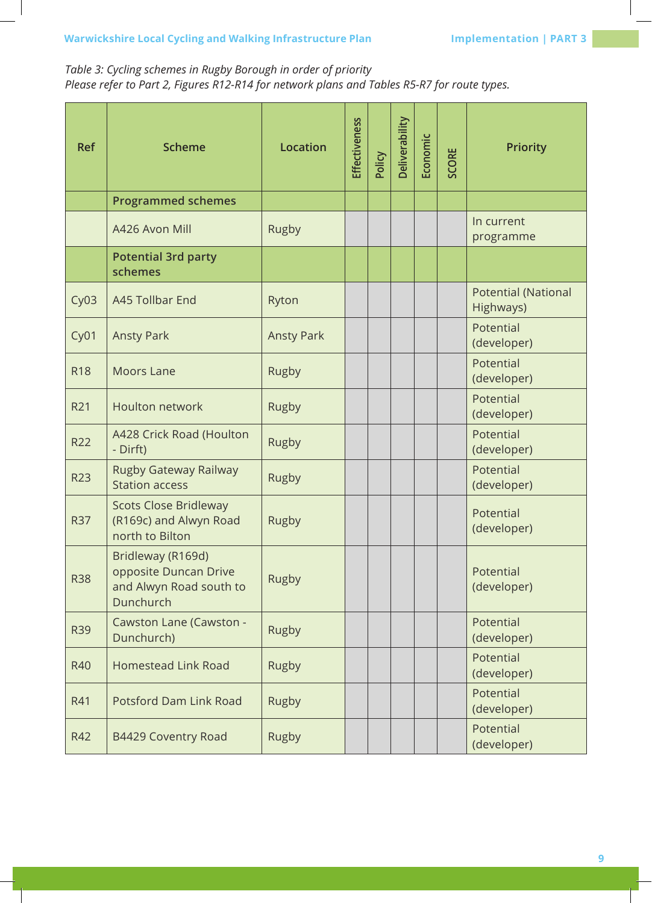## *Table 3: Cycling schemes in Rugby Borough in order of priority Please refer to Part 2, Figures R12-R14 for network plans and Tables R5-R7 for route types.*

| <b>Ref</b>       | <b>Scheme</b>                                                                      | <b>Location</b>   | <b>Effectiveness</b> | Policy | Deliverability | Economic | <b>SCORE</b> | <b>Priority</b>                         |
|------------------|------------------------------------------------------------------------------------|-------------------|----------------------|--------|----------------|----------|--------------|-----------------------------------------|
|                  | <b>Programmed schemes</b>                                                          |                   |                      |        |                |          |              |                                         |
|                  | A426 Avon Mill                                                                     | Rugby             |                      |        |                |          |              | In current<br>programme                 |
|                  | <b>Potential 3rd party</b><br>schemes                                              |                   |                      |        |                |          |              |                                         |
| CyO3             | A45 Tollbar End                                                                    | Ryton             |                      |        |                |          |              | <b>Potential (National</b><br>Highways) |
| Cy <sub>01</sub> | <b>Ansty Park</b>                                                                  | <b>Ansty Park</b> |                      |        |                |          |              | Potential<br>(developer)                |
| <b>R18</b>       | <b>Moors Lane</b>                                                                  | Rugby             |                      |        |                |          |              | Potential<br>(developer)                |
| R21              | Houlton network                                                                    | Rugby             |                      |        |                |          |              | Potential<br>(developer)                |
| <b>R22</b>       | A428 Crick Road (Houlton<br>- Dirft)                                               | Rugby             |                      |        |                |          |              | Potential<br>(developer)                |
| <b>R23</b>       | Rugby Gateway Railway<br><b>Station access</b>                                     | Rugby             |                      |        |                |          |              | Potential<br>(developer)                |
| <b>R37</b>       | <b>Scots Close Bridleway</b><br>(R169c) and Alwyn Road<br>north to Bilton          | Rugby             |                      |        |                |          |              | Potential<br>(developer)                |
| <b>R38</b>       | Bridleway (R169d)<br>opposite Duncan Drive<br>and Alwyn Road south to<br>Dunchurch | Rugby             |                      |        |                |          |              | Potential<br>(developer)                |
| <b>R39</b>       | Cawston Lane (Cawston -<br>Dunchurch)                                              | Rugby             |                      |        |                |          |              | Potential<br>(developer)                |
| <b>R40</b>       | <b>Homestead Link Road</b>                                                         | Rugby             |                      |        |                |          |              | Potential<br>(developer)                |
| R41              | <b>Potsford Dam Link Road</b>                                                      | Rugby             |                      |        |                |          |              | Potential<br>(developer)                |
| R42              | B4429 Coventry Road                                                                | Rugby             |                      |        |                |          |              | Potential<br>(developer)                |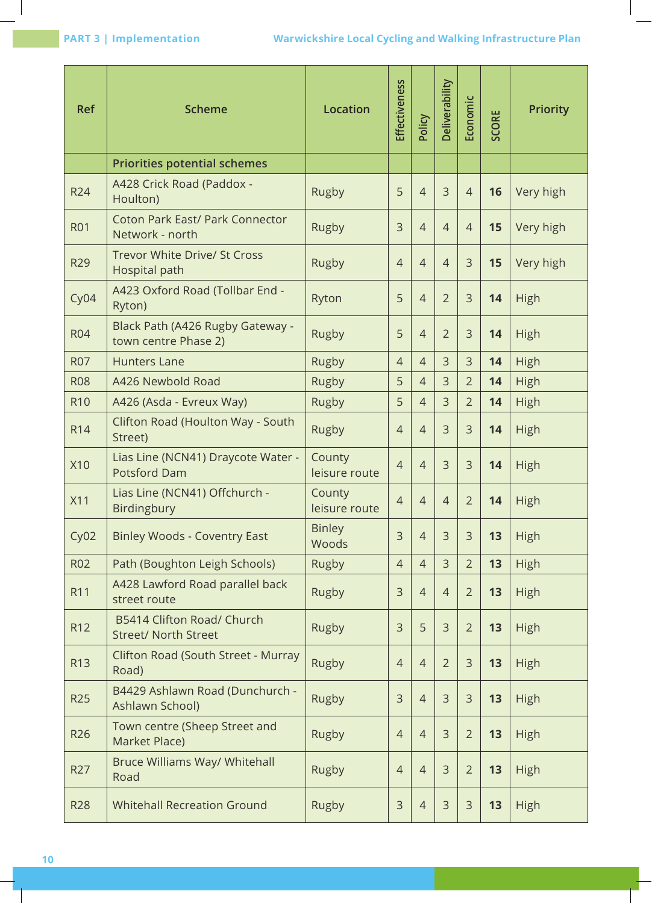| <b>Ref</b> | <b>Scheme</b>                                               | <b>Location</b>         | Effectiveness  | Policy         | Deliverability | Economic       | SCORE | <b>Priority</b> |
|------------|-------------------------------------------------------------|-------------------------|----------------|----------------|----------------|----------------|-------|-----------------|
|            | <b>Priorities potential schemes</b>                         |                         |                |                |                |                |       |                 |
| <b>R24</b> | A428 Crick Road (Paddox -<br>Houlton)                       | Rugby                   | 5              | $\overline{4}$ | $\overline{3}$ | $\overline{4}$ | 16    | Very high       |
| <b>R01</b> | <b>Coton Park East/ Park Connector</b><br>Network - north   | Rugby                   | 3              | $\overline{4}$ | $\overline{4}$ | $\overline{4}$ | 15    | Very high       |
| <b>R29</b> | <b>Trevor White Drive/ St Cross</b><br><b>Hospital path</b> | Rugby                   | $\overline{4}$ | $\overline{4}$ | $\overline{4}$ | $\overline{3}$ | 15    | Very high       |
| Cy04       | A423 Oxford Road (Tollbar End -<br>Ryton)                   | Ryton                   | 5              | $\overline{4}$ | $\overline{2}$ | $\overline{3}$ | 14    | High            |
| <b>R04</b> | Black Path (A426 Rugby Gateway -<br>town centre Phase 2)    | Rugby                   | 5              | $\overline{4}$ | $\overline{2}$ | $\overline{3}$ | 14    | High            |
| <b>R07</b> | <b>Hunters Lane</b>                                         | Rugby                   | $\overline{4}$ | $\overline{4}$ | 3              | $\overline{3}$ | 14    | High            |
| <b>R08</b> | A426 Newbold Road                                           | Rugby                   | 5              | $\overline{4}$ | $\overline{3}$ | $\overline{2}$ | 14    | High            |
| <b>R10</b> | A426 (Asda - Evreux Way)                                    | Rugby                   | 5              | $\overline{4}$ | $\overline{3}$ | $\overline{2}$ | 14    | High            |
| <b>R14</b> | Clifton Road (Houlton Way - South<br>Street)                | <b>Rugby</b>            | $\overline{4}$ | $\overline{4}$ | 3              | 3              | 14    | High            |
| <b>X10</b> | Lias Line (NCN41) Draycote Water -<br><b>Potsford Dam</b>   | County<br>leisure route | $\overline{4}$ | $\overline{4}$ | $\overline{3}$ | 3              | 14    | High            |
| <b>X11</b> | Lias Line (NCN41) Offchurch -<br>Birdingbury                | County<br>leisure route | $\overline{4}$ | $\overline{4}$ | $\overline{4}$ | $\overline{2}$ | 14    | High            |
| CyO2       | <b>Binley Woods - Coventry East</b>                         | <b>Binley</b><br>Woods  | 3              | $\overline{4}$ | $\overline{3}$ | $\overline{3}$ | 13    | <b>High</b>     |
| <b>R02</b> | Path (Boughton Leigh Schools)                               | <b>Rugby</b>            | $\overline{4}$ | $\overline{4}$ | $\overline{3}$ | $\overline{2}$ | 13    | High            |
| R11        | A428 Lawford Road parallel back<br>street route             | Rugby                   | 3              | $\overline{4}$ | $\overline{4}$ | $\overline{2}$ | 13    | <b>High</b>     |
| R12        | B5414 Clifton Road/ Church<br><b>Street/ North Street</b>   | Rugby                   | 3              | 5              | $\mathcal{E}$  | $\overline{2}$ | 13    | <b>High</b>     |
| R13        | Clifton Road (South Street - Murray<br>Road)                | Rugby                   | $\overline{4}$ | $\overline{4}$ | $\overline{2}$ | $\overline{3}$ | 13    | High            |
| <b>R25</b> | B4429 Ashlawn Road (Dunchurch -<br>Ashlawn School)          | Rugby                   | 3              | $\overline{4}$ | $\overline{3}$ | $\overline{3}$ | 13    | High            |
| R26        | Town centre (Sheep Street and<br>Market Place)              | Rugby                   | $\overline{4}$ | $\overline{4}$ | $\mathsf{3}$   | $\overline{2}$ | 13    | High            |
| R27        | Bruce Williams Way/ Whitehall<br>Road                       | Rugby                   | $\overline{4}$ | $\overline{4}$ | $\mathsf{3}$   | $\overline{2}$ | 13    | High            |
| <b>R28</b> | <b>Whitehall Recreation Ground</b>                          | <b>Rugby</b>            | 3              | $\overline{4}$ | $\mathsf{3}$   | 3              | 13    | <b>High</b>     |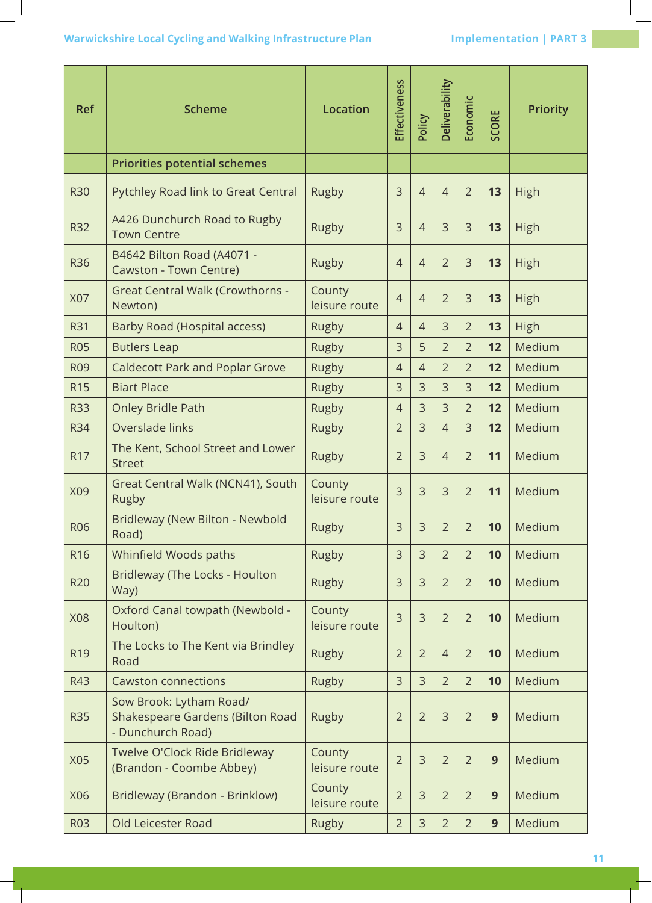| <b>Ref</b>      | <b>Scheme</b>                                                                    | <b>Location</b>         | Effectiveness  | Policy         | Deliverability | Economic       | <b>SCORE</b> | <b>Priority</b> |
|-----------------|----------------------------------------------------------------------------------|-------------------------|----------------|----------------|----------------|----------------|--------------|-----------------|
|                 | <b>Priorities potential schemes</b>                                              |                         |                |                |                |                |              |                 |
| <b>R30</b>      | Pytchley Road link to Great Central                                              | Rugby                   | 3              | $\overline{4}$ | $\overline{4}$ | $\overline{2}$ | 13           | High            |
| <b>R32</b>      | A426 Dunchurch Road to Rugby<br><b>Town Centre</b>                               | Rugby                   | 3              | $\overline{4}$ | 3              | $\overline{3}$ | 13           | High            |
| <b>R36</b>      | B4642 Bilton Road (A4071 -<br>Cawston - Town Centre)                             | Rugby                   | $\overline{4}$ | $\overline{4}$ | $\overline{2}$ | $\overline{3}$ | 13           | High            |
| X07             | <b>Great Central Walk (Crowthorns -</b><br>Newton)                               | County<br>leisure route | $\overline{4}$ | $\overline{4}$ | $\overline{2}$ | $\overline{3}$ | 13           | High            |
| <b>R31</b>      | Barby Road (Hospital access)                                                     | Rugby                   | $\overline{4}$ | $\overline{4}$ | $\overline{3}$ | $\overline{2}$ | 13           | <b>High</b>     |
| <b>R05</b>      | <b>Butlers Leap</b>                                                              | Rugby                   | 3              | 5              | $\overline{2}$ | $\overline{2}$ | 12           | Medium          |
| <b>R09</b>      | <b>Caldecott Park and Poplar Grove</b>                                           | <b>Rugby</b>            | $\overline{4}$ | $\overline{4}$ | $\overline{2}$ | $\overline{2}$ | 12           | Medium          |
| <b>R15</b>      | <b>Biart Place</b>                                                               | Rugby                   | 3              | 3              | 3              | $\overline{3}$ | 12           | Medium          |
| <b>R33</b>      | <b>Onley Bridle Path</b>                                                         | Rugby                   | $\overline{4}$ | 3              | $\overline{3}$ | $\overline{2}$ | 12           | Medium          |
| R34             | Overslade links                                                                  | Rugby                   | $\overline{2}$ | 3              | $\overline{4}$ | $\overline{3}$ | 12           | Medium          |
| R17             | The Kent, School Street and Lower<br><b>Street</b>                               | Rugby                   | $\overline{2}$ | 3              | $\overline{4}$ | $\overline{2}$ | 11           | Medium          |
| X09             | Great Central Walk (NCN41), South<br>Rugby                                       | County<br>leisure route | 3              | 3              | 3              | $\overline{2}$ | 11           | Medium          |
| R <sub>06</sub> | Bridleway (New Bilton - Newbold<br>Road)                                         | <b>Rugby</b>            | 3              | 3              | 2              | 2              | 10           | Medium          |
| R <sub>16</sub> | Whinfield Woods paths                                                            | Rugby                   | 3              | $\overline{3}$ | $\overline{2}$ | $\overline{2}$ | 10           | Medium          |
| <b>R20</b>      | Bridleway (The Locks - Houlton<br>Way)                                           | Rugby                   | 3              | 3              | $\overline{2}$ | $\overline{2}$ | 10           | Medium          |
| X08             | Oxford Canal towpath (Newbold -<br>Houlton)                                      | County<br>leisure route | 3              | 3              | $\overline{2}$ | $\overline{2}$ | 10           | Medium          |
| R <sub>19</sub> | The Locks to The Kent via Brindley<br>Road                                       | Rugby                   | $\overline{2}$ | $\overline{2}$ | $\overline{4}$ | $\overline{2}$ | 10           | Medium          |
| R43             | <b>Cawston connections</b>                                                       | Rugby                   | 3              | 3              | $\overline{2}$ | $\overline{2}$ | 10           | Medium          |
| <b>R35</b>      | Sow Brook: Lytham Road/<br>Shakespeare Gardens (Bilton Road<br>- Dunchurch Road) | Rugby                   | $\overline{2}$ | $\overline{2}$ | $\overline{3}$ | $\overline{2}$ | 9            | Medium          |
| X05             | Twelve O'Clock Ride Bridleway<br>(Brandon - Coombe Abbey)                        | County<br>leisure route | $\overline{2}$ | 3              | $\overline{2}$ | $\overline{2}$ | 9            | Medium          |
| X06             | Bridleway (Brandon - Brinklow)                                                   | County<br>leisure route | $\overline{2}$ | 3              | $\overline{2}$ | $\overline{2}$ | 9            | Medium          |
| <b>R03</b>      | Old Leicester Road                                                               | Rugby                   | $\overline{2}$ | 3              | $\overline{2}$ | $\overline{2}$ | 9            | Medium          |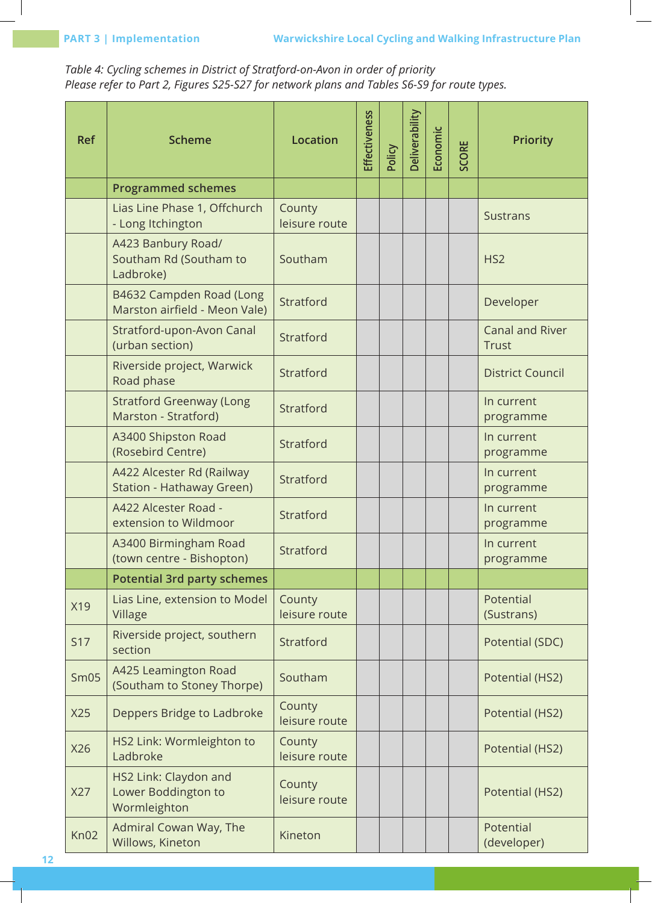*Table 4: Cycling schemes in District of Stratford-on-Avon in order of priority Please refer to Part 2, Figures S25-S27 for network plans and Tables S6-S9 for route types.*

| <b>Ref</b>       | <b>Scheme</b>                                                | <b>Location</b>         | Effectiveness | Policy | Deliverability | Economic | SCORE | <b>Priority</b>                        |
|------------------|--------------------------------------------------------------|-------------------------|---------------|--------|----------------|----------|-------|----------------------------------------|
|                  | <b>Programmed schemes</b>                                    |                         |               |        |                |          |       |                                        |
|                  | Lias Line Phase 1, Offchurch<br>- Long Itchington            | County<br>leisure route |               |        |                |          |       | <b>Sustrans</b>                        |
|                  | A423 Banbury Road/<br>Southam Rd (Southam to<br>Ladbroke)    | Southam                 |               |        |                |          |       | HS <sub>2</sub>                        |
|                  | B4632 Campden Road (Long<br>Marston airfield - Meon Vale)    | Stratford               |               |        |                |          |       | Developer                              |
|                  | Stratford-upon-Avon Canal<br>(urban section)                 | Stratford               |               |        |                |          |       | <b>Canal and River</b><br><b>Trust</b> |
|                  | Riverside project, Warwick<br>Road phase                     | Stratford               |               |        |                |          |       | <b>District Council</b>                |
|                  | <b>Stratford Greenway (Long</b><br>Marston - Stratford)      | Stratford               |               |        |                |          |       | In current<br>programme                |
|                  | A3400 Shipston Road<br>(Rosebird Centre)                     | Stratford               |               |        |                |          |       | In current<br>programme                |
|                  | A422 Alcester Rd (Railway<br>Station - Hathaway Green)       | Stratford               |               |        |                |          |       | In current<br>programme                |
|                  | A422 Alcester Road -<br>extension to Wildmoor                | Stratford               |               |        |                |          |       | In current<br>programme                |
|                  | A3400 Birmingham Road<br>(town centre - Bishopton)           | Stratford               |               |        |                |          |       | In current<br>programme                |
|                  | <b>Potential 3rd party schemes</b>                           |                         |               |        |                |          |       |                                        |
| X19              | Lias Line, extension to Model<br>Village                     | County<br>leisure route |               |        |                |          |       | Potential<br>(Sustrans)                |
| <b>S17</b>       | Riverside project, southern<br>section                       | Stratford               |               |        |                |          |       | Potential (SDC)                        |
| Sm05             | A425 Leamington Road<br>(Southam to Stoney Thorpe)           | Southam                 |               |        |                |          |       | Potential (HS2)                        |
| X25              | Deppers Bridge to Ladbroke                                   | County<br>leisure route |               |        |                |          |       | Potential (HS2)                        |
| X26              | HS2 Link: Wormleighton to<br>Ladbroke                        | County<br>leisure route |               |        |                |          |       | Potential (HS2)                        |
| X27              | HS2 Link: Claydon and<br>Lower Boddington to<br>Wormleighton | County<br>leisure route |               |        |                |          |       | Potential (HS2)                        |
| Kn <sub>02</sub> | Admiral Cowan Way, The<br>Willows, Kineton                   | Kineton                 |               |        |                |          |       | Potential<br>(developer)               |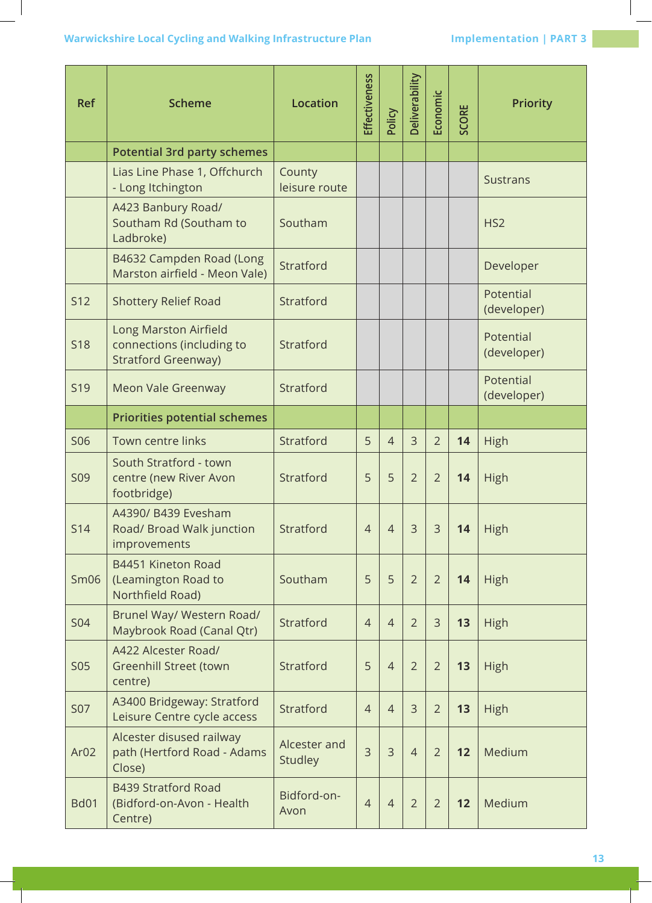## **Warwickshire Local Cycling and Walking Infrastructure Plan Marwickshire Local Cycling and Walking Infrastructure Plan Margin Schwarzer Implementation | PART 3**

| <b>Ref</b>       | <b>Scheme</b>                                                                    | <b>Location</b>         | Effectiveness  | Policy         | Deliverability | Economic       | <b>SCORE</b> | <b>Priority</b>          |  |
|------------------|----------------------------------------------------------------------------------|-------------------------|----------------|----------------|----------------|----------------|--------------|--------------------------|--|
|                  | <b>Potential 3rd party schemes</b>                                               |                         |                |                |                |                |              |                          |  |
|                  | Lias Line Phase 1, Offchurch<br>- Long Itchington                                | County<br>leisure route |                |                |                |                |              | <b>Sustrans</b>          |  |
|                  | A423 Banbury Road/<br>Southam Rd (Southam to<br>Ladbroke)                        | Southam                 |                |                |                |                |              | HS <sub>2</sub>          |  |
|                  | B4632 Campden Road (Long<br>Marston airfield - Meon Vale)                        | Stratford               |                |                |                |                |              | Developer                |  |
| <b>S12</b>       | <b>Shottery Relief Road</b>                                                      | Stratford               |                |                |                |                |              | Potential<br>(developer) |  |
| <b>S18</b>       | Long Marston Airfield<br>connections (including to<br><b>Stratford Greenway)</b> | Stratford               |                |                |                |                |              | Potential<br>(developer) |  |
| <b>S19</b>       | Meon Vale Greenway                                                               | Stratford               |                |                |                |                |              | Potential<br>(developer) |  |
|                  | <b>Priorities potential schemes</b>                                              |                         |                |                |                |                |              |                          |  |
| <b>S06</b>       | Town centre links                                                                | Stratford               | 5              | $\overline{4}$ | $\overline{3}$ | $\overline{2}$ | 14           | High                     |  |
| <b>S09</b>       | South Stratford - town<br>centre (new River Avon<br>footbridge)                  | Stratford               | 5              | 5              | $\overline{2}$ | $\overline{2}$ | 14           | High                     |  |
| S14              | A4390/ B439 Evesham<br>Road/ Broad Walk junction<br>improvements                 | Stratford               | $\overline{4}$ | $\overline{4}$ | 3              | 3              | 14           | <b>High</b>              |  |
| Sm06             | B4451 Kineton Road<br>(Leamington Road to<br>Northfield Road)                    | Southam                 | 5              | 5              | $\overline{2}$ | $\overline{2}$ | 14           | High                     |  |
| <b>S04</b>       | Brunel Way/ Western Road/<br>Maybrook Road (Canal Qtr)                           | Stratford               | $\overline{4}$ | $\overline{4}$ | $\overline{2}$ | 3              | 13           | High                     |  |
| <b>S05</b>       | A422 Alcester Road/<br><b>Greenhill Street (town</b><br>centre)                  | Stratford               | 5              | $\overline{4}$ | $\overline{2}$ | $\overline{2}$ | 13           | High                     |  |
| <b>S07</b>       | A3400 Bridgeway: Stratford<br>Leisure Centre cycle access                        | Stratford               | $\overline{4}$ | $\overline{4}$ | 3              | $\overline{2}$ | 13           | High                     |  |
| Ar <sub>02</sub> | Alcester disused railway<br>path (Hertford Road - Adams<br>Close)                | Alcester and<br>Studley | 3              | $\overline{3}$ | $\overline{4}$ | $\overline{2}$ | 12           | Medium                   |  |
| <b>Bd01</b>      | <b>B439 Stratford Road</b><br>(Bidford-on-Avon - Health<br>Centre)               | Bidford-on-<br>Avon     | $\overline{4}$ | $\overline{4}$ | $\overline{2}$ | $\overline{2}$ | 12           | Medium                   |  |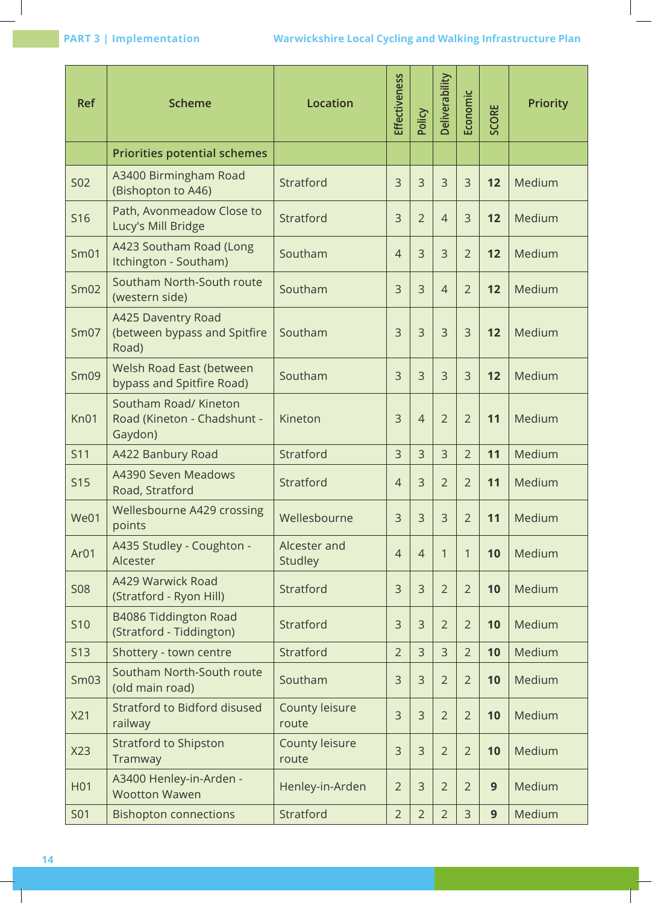| <b>Ref</b>       | <b>Scheme</b>                                                   | <b>Location</b>         | Effectiveness  | Policy         | Deliverability | Economic       | <b>SCORE</b> | <b>Priority</b> |
|------------------|-----------------------------------------------------------------|-------------------------|----------------|----------------|----------------|----------------|--------------|-----------------|
|                  | <b>Priorities potential schemes</b>                             |                         |                |                |                |                |              |                 |
| <b>S02</b>       | A3400 Birmingham Road<br>(Bishopton to A46)                     | Stratford               | 3              | $\overline{3}$ | 3              | $\overline{3}$ | 12           | Medium          |
| S16              | Path, Avonmeadow Close to<br>Lucy's Mill Bridge                 | Stratford               | 3              | $\overline{2}$ | $\overline{4}$ | $\overline{3}$ | 12           | Medium          |
| Sm <sub>01</sub> | A423 Southam Road (Long<br>Itchington - Southam)                | Southam                 | $\overline{4}$ | $\overline{3}$ | 3              | $\overline{2}$ | 12           | Medium          |
| Sm <sub>02</sub> | Southam North-South route<br>(western side)                     | Southam                 | 3              | $\overline{3}$ | $\overline{4}$ | $\overline{2}$ | 12           | Medium          |
| Sm07             | A425 Daventry Road<br>(between bypass and Spitfire<br>Road)     | Southam                 | $\overline{3}$ | $\overline{3}$ | 3              | $\overline{3}$ | 12           | Medium          |
| Sm09             | Welsh Road East (between<br>bypass and Spitfire Road)           | Southam                 | $\overline{3}$ | $\overline{3}$ | 3              | 3              | 12           | Medium          |
| Kn01             | Southam Road/ Kineton<br>Road (Kineton - Chadshunt -<br>Gaydon) | Kineton                 | 3              | $\overline{4}$ | $\overline{2}$ | $\overline{2}$ | 11           | Medium          |
| S11              | A422 Banbury Road                                               | Stratford               | 3              | $\overline{3}$ | 3              | $\overline{2}$ | 11           | Medium          |
| <b>S15</b>       | A4390 Seven Meadows<br>Road, Stratford                          | Stratford               | $\overline{4}$ | 3              | $\overline{2}$ | $\overline{2}$ | 11           | Medium          |
| We01             | Wellesbourne A429 crossing<br>points                            | Wellesbourne            | 3              | 3              | 3              | $\overline{2}$ | 11           | Medium          |
| Ar <sub>01</sub> | A435 Studley - Coughton -<br>Alcester                           | Alcester and<br>Studley | $\overline{4}$ | $\overline{4}$ | 1              | 1              | 10           | Medium          |
| <b>S08</b>       | A429 Warwick Road<br>(Stratford - Ryon Hill)                    | Stratford               | 3              | 3              | $\overline{2}$ | $\overline{2}$ | 10           | Medium          |
| <b>S10</b>       | B4086 Tiddington Road<br>(Stratford - Tiddington)               | Stratford               | 3              | 3              | $\overline{2}$ | $\overline{2}$ | 10           | Medium          |
| <b>S13</b>       | Shottery - town centre                                          | Stratford               | $\overline{2}$ | 3              | $\mathsf{3}$   | $\overline{2}$ | 10           | Medium          |
| Sm <sub>03</sub> | Southam North-South route<br>(old main road)                    | Southam                 | 3              | 3              | $\overline{2}$ | $\overline{2}$ | 10           | Medium          |
| X21              | Stratford to Bidford disused<br>railway                         | County leisure<br>route | 3              | 3              | $\overline{2}$ | $\overline{2}$ | 10           | Medium          |
| X23              | <b>Stratford to Shipston</b><br>Tramway                         | County leisure<br>route | 3              | 3              | $\overline{2}$ | $\overline{2}$ | 10           | Medium          |
| H01              | A3400 Henley-in-Arden -<br><b>Wootton Wawen</b>                 | Henley-in-Arden         | $\overline{2}$ | $\overline{3}$ | $\overline{2}$ | $\overline{2}$ | 9            | Medium          |
| <b>S01</b>       | <b>Bishopton connections</b>                                    | Stratford               | $\overline{2}$ | $\overline{2}$ | $\overline{2}$ | 3              | 9            | Medium          |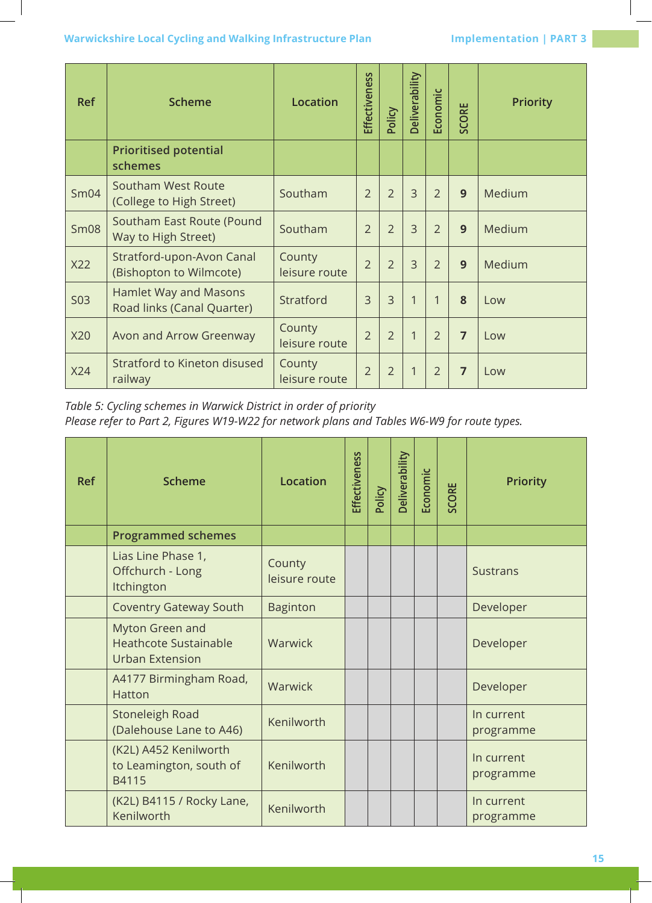## **Warwickshire Local Cycling and Walking Infrastructure Plan Marmich Implementation | PART 3**

| <b>Ref</b>  | <b>Scheme</b>                                         | <b>Location</b>         | Effectiveness  | Policy         | Deliverability | Economic       | <b>SCORE</b>   | <b>Priority</b> |
|-------------|-------------------------------------------------------|-------------------------|----------------|----------------|----------------|----------------|----------------|-----------------|
|             | <b>Prioritised potential</b><br>schemes               |                         |                |                |                |                |                |                 |
| Sm04        | <b>Southam West Route</b><br>(College to High Street) | Southam                 | $\overline{2}$ | $\overline{2}$ | $\overline{3}$ | $\overline{2}$ | 9              | Medium          |
| <b>Sm08</b> | Southam East Route (Pound<br>Way to High Street)      | Southam                 | $\overline{2}$ | $\overline{2}$ | $\overline{3}$ | $\overline{2}$ | 9              | Medium          |
| X22         | Stratford-upon-Avon Canal<br>(Bishopton to Wilmcote)  | County<br>leisure route | $\overline{2}$ | $\overline{2}$ | 3              | $\overline{2}$ | 9              | Medium          |
| <b>S03</b>  | Hamlet Way and Masons<br>Road links (Canal Quarter)   | Stratford               | $\overline{3}$ | $\overline{3}$ | 1              | 1              | 8              | Low             |
| X20         | Avon and Arrow Greenway                               | County<br>leisure route | $\overline{2}$ | $\overline{2}$ | 1              | $\overline{2}$ | $\overline{7}$ | Low             |
| X24         | Stratford to Kineton disused<br>railway               | County<br>leisure route | $\overline{2}$ | $\overline{2}$ |                | $\overline{2}$ | 7              | Low             |

*Table 5: Cycling schemes in Warwick District in order of priority*

*Please refer to Part 2, Figures W19-W22 for network plans and Tables W6-W9 for route types.*

| <b>Ref</b> | <b>Scheme</b>                                                             | <b>Location</b>         | Effectiveness | Policy | Deliverability | Economic | <b>SCORE</b> | <b>Priority</b>         |
|------------|---------------------------------------------------------------------------|-------------------------|---------------|--------|----------------|----------|--------------|-------------------------|
|            | <b>Programmed schemes</b>                                                 |                         |               |        |                |          |              |                         |
|            | Lias Line Phase 1,<br>Offchurch - Long<br>Itchington                      | County<br>leisure route |               |        |                |          |              | <b>Sustrans</b>         |
|            | <b>Coventry Gateway South</b>                                             | <b>Baginton</b>         |               |        |                |          |              | Developer               |
|            | Myton Green and<br><b>Heathcote Sustainable</b><br><b>Urban Extension</b> | Warwick                 |               |        |                |          |              | Developer               |
|            | A4177 Birmingham Road,<br>Hatton                                          | Warwick                 |               |        |                |          |              | Developer               |
|            | Stoneleigh Road<br>(Dalehouse Lane to A46)                                | Kenilworth              |               |        |                |          |              | In current<br>programme |
|            | (K2L) A452 Kenilworth<br>to Leamington, south of<br>B4115                 | Kenilworth              |               |        |                |          |              | In current<br>programme |
|            | (K2L) B4115 / Rocky Lane,<br>Kenilworth                                   | Kenilworth              |               |        |                |          |              | In current<br>programme |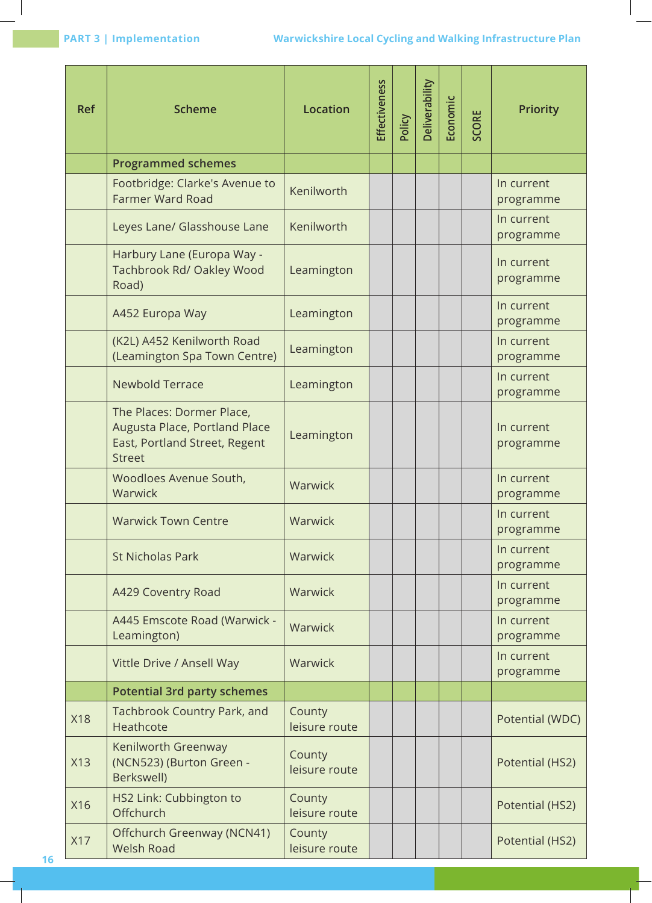| <b>Ref</b> | <b>Scheme</b>                                                                                                | Location                | Effectiveness | Policy | Deliverability | Economic | <b>SCORE</b> | <b>Priority</b>         |
|------------|--------------------------------------------------------------------------------------------------------------|-------------------------|---------------|--------|----------------|----------|--------------|-------------------------|
|            | <b>Programmed schemes</b>                                                                                    |                         |               |        |                |          |              |                         |
|            | Footbridge: Clarke's Avenue to<br><b>Farmer Ward Road</b>                                                    | Kenilworth              |               |        |                |          |              | In current<br>programme |
|            | Leyes Lane/ Glasshouse Lane                                                                                  | Kenilworth              |               |        |                |          |              | In current<br>programme |
|            | Harbury Lane (Europa Way -<br>Tachbrook Rd/ Oakley Wood<br>Road)                                             | Leamington              |               |        |                |          |              | In current<br>programme |
|            | A452 Europa Way                                                                                              | Leamington              |               |        |                |          |              | In current<br>programme |
|            | (K2L) A452 Kenilworth Road<br>(Leamington Spa Town Centre)                                                   | Leamington              |               |        |                |          |              | In current<br>programme |
|            | <b>Newbold Terrace</b>                                                                                       | Leamington              |               |        |                |          |              | In current<br>programme |
|            | The Places: Dormer Place,<br>Augusta Place, Portland Place<br>East, Portland Street, Regent<br><b>Street</b> | Leamington              |               |        |                |          |              | In current<br>programme |
|            | Woodloes Avenue South,<br>Warwick                                                                            | Warwick                 |               |        |                |          |              | In current<br>programme |
|            | <b>Warwick Town Centre</b>                                                                                   | Warwick                 |               |        |                |          |              | In current<br>programme |
|            | <b>St Nicholas Park</b>                                                                                      | Warwick                 |               |        |                |          |              | In current<br>programme |
|            | A429 Coventry Road                                                                                           | Warwick                 |               |        |                |          |              | In current<br>programme |
|            | A445 Emscote Road (Warwick -<br>Leamington)                                                                  | Warwick                 |               |        |                |          |              | In current<br>programme |
|            | Vittle Drive / Ansell Way                                                                                    | Warwick                 |               |        |                |          |              | In current<br>programme |
|            | <b>Potential 3rd party schemes</b>                                                                           |                         |               |        |                |          |              |                         |
| <b>X18</b> | Tachbrook Country Park, and<br>Heathcote                                                                     | County<br>leisure route |               |        |                |          |              | Potential (WDC)         |
| X13        | Kenilworth Greenway<br>(NCN523) (Burton Green -<br>Berkswell)                                                | County<br>leisure route |               |        |                |          |              | Potential (HS2)         |
| X16        | HS2 Link: Cubbington to<br>Offchurch                                                                         | County<br>leisure route |               |        |                |          |              | Potential (HS2)         |
| X17        | Offchurch Greenway (NCN41)<br><b>Welsh Road</b>                                                              | County<br>leisure route |               |        |                |          |              | Potential (HS2)         |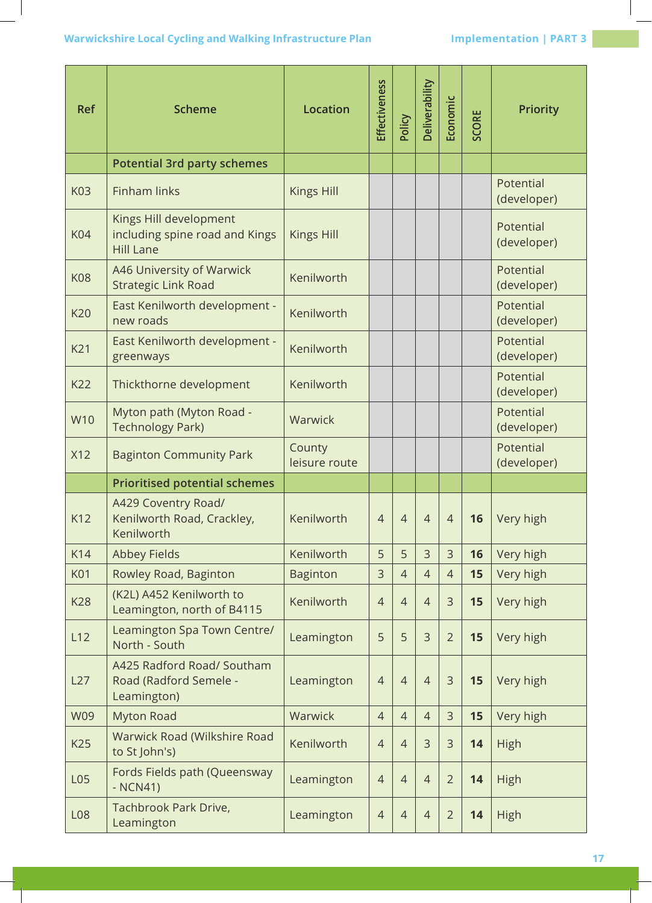| <b>Ref</b>      | <b>Scheme</b>                                                                | Location                | Effectiveness  | Policy         | Deliverability | Economic       | <b>SCORE</b> | <b>Priority</b>          |
|-----------------|------------------------------------------------------------------------------|-------------------------|----------------|----------------|----------------|----------------|--------------|--------------------------|
|                 | <b>Potential 3rd party schemes</b>                                           |                         |                |                |                |                |              |                          |
| K03             | <b>Finham links</b>                                                          | <b>Kings Hill</b>       |                |                |                |                |              | Potential<br>(developer) |
| <b>K04</b>      | Kings Hill development<br>including spine road and Kings<br><b>Hill Lane</b> | <b>Kings Hill</b>       |                |                |                |                |              | Potential<br>(developer) |
| <b>K08</b>      | A46 University of Warwick<br><b>Strategic Link Road</b>                      | Kenilworth              |                |                |                |                |              | Potential<br>(developer) |
| <b>K20</b>      | East Kenilworth development -<br>new roads                                   | Kenilworth              |                |                |                |                |              | Potential<br>(developer) |
| K21             | East Kenilworth development -<br>greenways                                   | Kenilworth              |                |                |                |                |              | Potential<br>(developer) |
| K22             | Thickthorne development                                                      | Kenilworth              |                |                |                |                |              | Potential<br>(developer) |
| W10             | Myton path (Myton Road -<br><b>Technology Park)</b>                          | Warwick                 |                |                |                |                |              | Potential<br>(developer) |
| X12             | <b>Baginton Community Park</b>                                               | County<br>leisure route |                |                |                |                |              | Potential<br>(developer) |
|                 | <b>Prioritised potential schemes</b>                                         |                         |                |                |                |                |              |                          |
| K12             | A429 Coventry Road/<br>Kenilworth Road, Crackley,<br>Kenilworth              | Kenilworth              | $\overline{4}$ | $\overline{4}$ | $\overline{4}$ | $\overline{4}$ | 16           | Very high                |
| K14             | <b>Abbey Fields</b>                                                          | Kenilworth              | 5              | 5              | 3              | $\mathsf{3}$   | 16           | Very high                |
| <b>K01</b>      | Rowley Road, Baginton                                                        | <b>Baginton</b>         | 3              | $\overline{4}$ | $\overline{4}$ | $\overline{4}$ | 15           | Very high                |
| <b>K28</b>      | (K2L) A452 Kenilworth to<br>Leamington, north of B4115                       | Kenilworth              | $\overline{4}$ | $\overline{4}$ | $\overline{4}$ | 3              | 15           | Very high                |
| L12             | Leamington Spa Town Centre/<br>North - South                                 | Leamington              | 5              | 5              | 3              | $\overline{2}$ | 15           | Very high                |
| L27             | A425 Radford Road/ Southam<br>Road (Radford Semele -<br>Leamington)          | Leamington              | $\overline{4}$ | $\overline{4}$ | $\overline{4}$ | 3              | 15           | Very high                |
| <b>W09</b>      | <b>Myton Road</b>                                                            | Warwick                 | $\overline{4}$ | $\overline{4}$ | $\overline{4}$ | $\overline{3}$ | 15           | Very high                |
| K25             | Warwick Road (Wilkshire Road<br>to St John's)                                | Kenilworth              | $\overline{4}$ | $\overline{4}$ | 3              | 3              | 14           | High                     |
| L <sub>05</sub> | Fords Fields path (Queensway<br>$-NCN41$ )                                   | Leamington              | $\overline{4}$ | $\overline{4}$ | $\overline{4}$ | $\overline{2}$ | 14           | High                     |
| L08             | Tachbrook Park Drive,<br>Leamington                                          | Leamington              | $\overline{4}$ | $\overline{4}$ | $\overline{4}$ | $\overline{2}$ | 14           | High                     |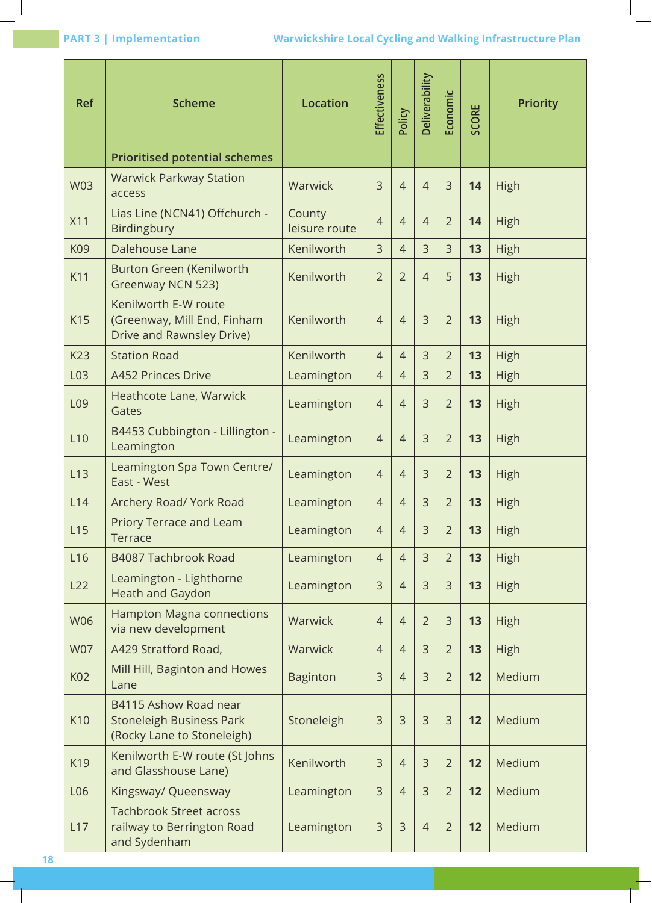| <b>Ref</b>      | <b>Scheme</b>                                                                          | <b>Location</b>         | Effectiveness  | Policy         | Deliverability | Economic       | <b>SCORE</b> | <b>Priority</b> |
|-----------------|----------------------------------------------------------------------------------------|-------------------------|----------------|----------------|----------------|----------------|--------------|-----------------|
|                 | <b>Prioritised potential schemes</b>                                                   |                         |                |                |                |                |              |                 |
| <b>W03</b>      | <b>Warwick Parkway Station</b><br>access                                               | Warwick                 | 3              | $\overline{4}$ | $\overline{4}$ | 3              | 14           | High            |
| X11             | Lias Line (NCN41) Offchurch -<br>Birdingbury                                           | County<br>leisure route | $\overline{4}$ | $\overline{4}$ | $\overline{4}$ | $\overline{2}$ | 14           | High            |
| K09             | Dalehouse Lane                                                                         | Kenilworth              | $\overline{3}$ | $\overline{4}$ | 3              | 3              | 13           | <b>High</b>     |
| K11             | Burton Green (Kenilworth<br>Greenway NCN 523)                                          | Kenilworth              | $\overline{2}$ | $\overline{2}$ | $\overline{4}$ | 5              | 13           | High            |
| K15             | Kenilworth E-W route<br>(Greenway, Mill End, Finham<br>Drive and Rawnsley Drive)       | Kenilworth              | $\overline{4}$ | $\overline{4}$ | $\overline{3}$ | $\overline{2}$ | 13           | High            |
| K23             | <b>Station Road</b>                                                                    | Kenilworth              | $\overline{4}$ | $\overline{4}$ | 3              | $\overline{2}$ | 13           | High            |
| L03             | <b>A452 Princes Drive</b>                                                              | Leamington              | $\overline{4}$ | $\overline{4}$ | $\overline{3}$ | $\overline{2}$ | 13           | High            |
| L <sub>09</sub> | Heathcote Lane, Warwick<br>Gates                                                       | Leamington              | $\overline{4}$ | $\overline{4}$ | 3              | $\overline{2}$ | 13           | High            |
| L10             | B4453 Cubbington - Lillington -<br>Leamington                                          | Leamington              | $\overline{4}$ | $\overline{4}$ | $\overline{3}$ | $\overline{2}$ | 13           | High            |
| L13             | Leamington Spa Town Centre/<br>East - West                                             | Leamington              | $\overline{4}$ | $\overline{4}$ | 3              | $\overline{2}$ | 13           | High            |
| L14             | Archery Road/ York Road                                                                | Leamington              | $\overline{4}$ | $\overline{4}$ | 3              | $\overline{2}$ | 13           | High            |
| L15             | Priory Terrace and Leam<br><b>Terrace</b>                                              | Leamington              | $\overline{4}$ | $\overline{4}$ | 3              | $\overline{2}$ | 13           | High            |
| L <sub>16</sub> | B4087 Tachbrook Road                                                                   | Leamington              | $\overline{4}$ | $\overline{4}$ | $\overline{3}$ | $\overline{2}$ | 13           | High            |
| L22             | Leamington - Lighthorne<br><b>Heath and Gaydon</b>                                     | Leamington              | 3              | $\overline{4}$ | 3              | 3              | 13           | High            |
| <b>W06</b>      | <b>Hampton Magna connections</b><br>via new development                                | Warwick                 | $\overline{4}$ | $\overline{4}$ | $\overline{2}$ | 3              | 13           | High            |
| <b>W07</b>      | A429 Stratford Road,                                                                   | Warwick                 | $\overline{4}$ | $\overline{4}$ | $\overline{3}$ | $\overline{2}$ | 13           | High            |
| K02             | Mill Hill, Baginton and Howes<br>Lane                                                  | <b>Baginton</b>         | 3              | $\overline{4}$ | 3              | $\overline{2}$ | 12           | Medium          |
| K10             | B4115 Ashow Road near<br><b>Stoneleigh Business Park</b><br>(Rocky Lane to Stoneleigh) | Stoneleigh              | 3              | 3              | 3              | 3              | 12           | Medium          |
| K19             | Kenilworth E-W route (St Johns<br>and Glasshouse Lane)                                 | Kenilworth              | 3              | $\overline{4}$ | $\overline{3}$ | $\overline{2}$ | 12           | Medium          |
| L06             | Kingsway/ Queensway                                                                    | Leamington              | 3              | $\overline{4}$ | $\overline{3}$ | $\overline{2}$ | 12           | Medium          |
| L17             | <b>Tachbrook Street across</b><br>railway to Berrington Road<br>and Sydenham           | Leamington              | 3              | 3              | $\overline{4}$ | $\overline{2}$ | 12           | Medium          |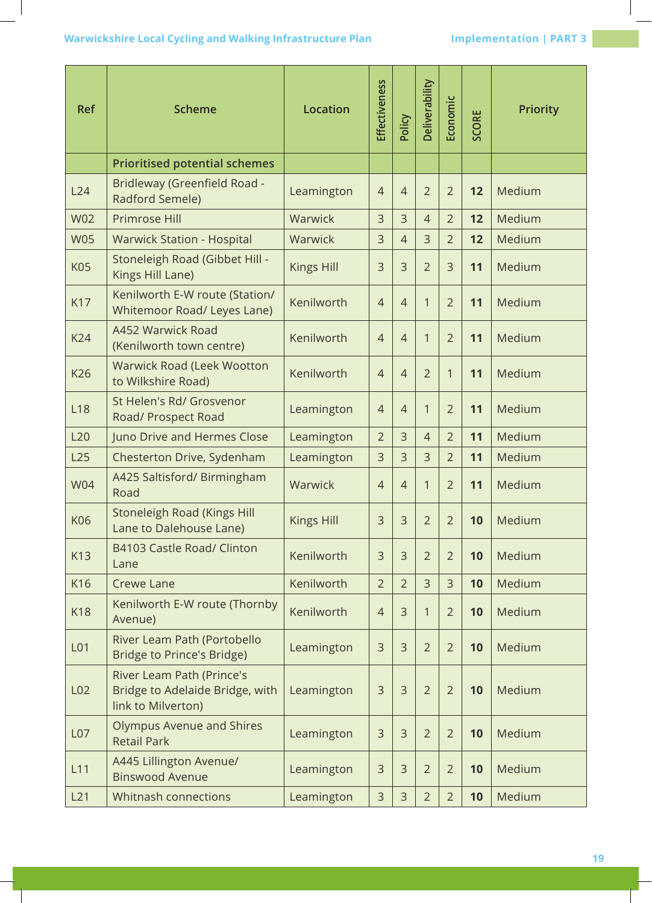## **Warwickshire Local Cycling and Walking Infrastructure Plan Marwickshire Local Cycling and Walking Infrastructure Plan Margin Schwarzer Implementation | PART 3**

| <b>Ref</b>      | <b>Scheme</b>                                                                      | Location          | Effectiveness  | Policy         | Deliverability | Economic       | SCORE | <b>Priority</b> |
|-----------------|------------------------------------------------------------------------------------|-------------------|----------------|----------------|----------------|----------------|-------|-----------------|
|                 | <b>Prioritised potential schemes</b>                                               |                   |                |                |                |                |       |                 |
| L24             | Bridleway (Greenfield Road -<br>Radford Semele)                                    | Leamington        | $\overline{4}$ | $\overline{4}$ | $\overline{2}$ | $\overline{2}$ | 12    | Medium          |
| <b>W02</b>      | Primrose Hill                                                                      | Warwick           | 3              | 3              | $\overline{4}$ | $\overline{2}$ | 12    | Medium          |
| <b>W05</b>      | <b>Warwick Station - Hospital</b>                                                  | Warwick           | 3              | $\overline{4}$ | 3              | $\overline{2}$ | 12    | Medium          |
| <b>K05</b>      | Stoneleigh Road (Gibbet Hill -<br>Kings Hill Lane)                                 | <b>Kings Hill</b> | 3              | $\overline{3}$ | $\overline{2}$ | 3              | 11    | Medium          |
| <b>K17</b>      | Kenilworth E-W route (Station/<br>Whitemoor Road/ Leyes Lane)                      | Kenilworth        | $\overline{4}$ | $\overline{4}$ | 1              | $\overline{2}$ | 11    | Medium          |
| <b>K24</b>      | A452 Warwick Road<br>(Kenilworth town centre)                                      | Kenilworth        | $\overline{4}$ | $\overline{4}$ | 1              | $\overline{2}$ | 11    | Medium          |
| K26             | <b>Warwick Road (Leek Wootton</b><br>to Wilkshire Road)                            | Kenilworth        | $\overline{4}$ | $\overline{4}$ | $\overline{2}$ | 1              | 11    | Medium          |
| L18             | St Helen's Rd/ Grosvenor<br>Road/ Prospect Road                                    | Leamington        | $\overline{4}$ | $\overline{4}$ | 1              | $\overline{2}$ | 11    | Medium          |
| L20             | Juno Drive and Hermes Close                                                        | Leamington        | $\overline{2}$ | 3              | $\overline{4}$ | $\overline{2}$ | 11    | Medium          |
| L25             | Chesterton Drive, Sydenham                                                         | Leamington        | 3              | 3              | $\overline{3}$ | $\overline{2}$ | 11    | Medium          |
| <b>W04</b>      | A425 Saltisford/ Birmingham<br>Road                                                | Warwick           | $\overline{4}$ | $\overline{4}$ | 1              | $\overline{2}$ | 11    | Medium          |
| K06             | Stoneleigh Road (Kings Hill<br>Lane to Dalehouse Lane)                             | Kings Hill        | 3              | 3              | $\overline{2}$ | $\overline{2}$ | 10    | Medium          |
| K13             | B4103 Castle Road/ Clinton<br>Lane                                                 | Kenilworth        | 3              | $\overline{3}$ | $\overline{2}$ | $\overline{2}$ | 10    | Medium          |
| K16             | <b>Crewe Lane</b>                                                                  | Kenilworth        | $\overline{2}$ | $\overline{2}$ | 3              | 3              | 10    | Medium          |
| <b>K18</b>      | Kenilworth E-W route (Thornby<br>Avenue)                                           | Kenilworth        | 4              | 3              | 1              | $\overline{2}$ | 10    | Medium          |
| L01             | River Leam Path (Portobello<br>Bridge to Prince's Bridge)                          | Leamington        | 3              | 3              | $\overline{2}$ | $\overline{2}$ | 10    | Medium          |
| L <sub>02</sub> | River Leam Path (Prince's<br>Bridge to Adelaide Bridge, with<br>link to Milverton) | Leamington        | 3              | $\overline{3}$ | $\overline{2}$ | $\overline{2}$ | 10    | Medium          |
| L <sub>07</sub> | Olympus Avenue and Shires<br><b>Retail Park</b>                                    | Leamington        | 3              | $\overline{3}$ | $\overline{2}$ | $\overline{2}$ | 10    | Medium          |
| L11             | A445 Lillington Avenue/<br><b>Binswood Avenue</b>                                  | Leamington        | 3              | $\overline{3}$ | $\overline{2}$ | $\overline{2}$ | 10    | Medium          |
| L21             | Whitnash connections                                                               | Leamington        | 3              | 3              | $\overline{2}$ | $\overline{2}$ | 10    | Medium          |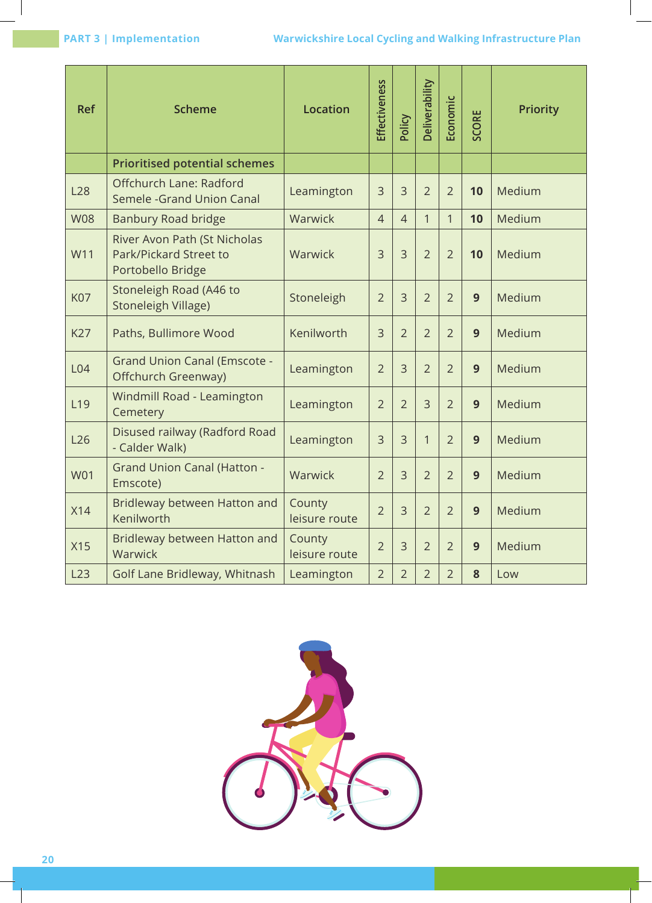| <b>Ref</b> | <b>Scheme</b>                                                               | <b>Location</b>         | Effectiveness  | Policy         | Deliverability | Economic       | <b>SCORE</b> | <b>Priority</b> |
|------------|-----------------------------------------------------------------------------|-------------------------|----------------|----------------|----------------|----------------|--------------|-----------------|
|            | <b>Prioritised potential schemes</b>                                        |                         |                |                |                |                |              |                 |
| <b>L28</b> | Offchurch Lane: Radford<br>Semele - Grand Union Canal                       | Leamington              | 3              | $\overline{3}$ | $\overline{2}$ | $\overline{2}$ | 10           | Medium          |
| <b>W08</b> | <b>Banbury Road bridge</b>                                                  | Warwick                 | $\overline{4}$ | $\overline{4}$ | 1              | 1              | 10           | Medium          |
| W11        | River Avon Path (St Nicholas<br>Park/Pickard Street to<br>Portobello Bridge | Warwick                 | $\overline{3}$ | $\overline{3}$ | $\overline{2}$ | $\overline{2}$ | 10           | Medium          |
| <b>K07</b> | Stoneleigh Road (A46 to<br><b>Stoneleigh Village)</b>                       | Stoneleigh              | $\overline{2}$ | $\overline{3}$ | $\overline{2}$ | $\overline{2}$ | 9            | Medium          |
| <b>K27</b> | Paths, Bullimore Wood                                                       | Kenilworth              | 3              | $\overline{2}$ | $\overline{2}$ | $\overline{2}$ | 9            | Medium          |
| L04        | <b>Grand Union Canal (Emscote -</b><br>Offchurch Greenway)                  | Leamington              | $\overline{2}$ | $\overline{3}$ | $\overline{2}$ | $\overline{2}$ | 9            | Medium          |
| L19        | Windmill Road - Leamington<br>Cemetery                                      | Leamington              | $\overline{2}$ | $\overline{2}$ | $\overline{3}$ | $\overline{2}$ | 9            | Medium          |
| L26        | Disused railway (Radford Road<br>- Calder Walk)                             | Leamington              | 3              | $\overline{3}$ | $\mathbf{1}$   | $\overline{2}$ | 9            | Medium          |
| <b>W01</b> | <b>Grand Union Canal (Hatton -</b><br>Emscote)                              | Warwick                 | $\overline{2}$ | $\overline{3}$ | $\overline{2}$ | $\overline{2}$ | 9            | Medium          |
| X14        | Bridleway between Hatton and<br>Kenilworth                                  | County<br>leisure route | $\overline{2}$ | $\overline{3}$ | $\overline{2}$ | $\overline{2}$ | 9            | Medium          |
| X15        | Bridleway between Hatton and<br>Warwick                                     | County<br>leisure route | $\overline{2}$ | $\overline{3}$ | $\overline{2}$ | $\overline{2}$ | 9            | Medium          |
| L23        | Golf Lane Bridleway, Whitnash                                               | Leamington              | $\overline{2}$ | $\overline{2}$ | $\overline{2}$ | $\overline{2}$ | 8            | Low             |

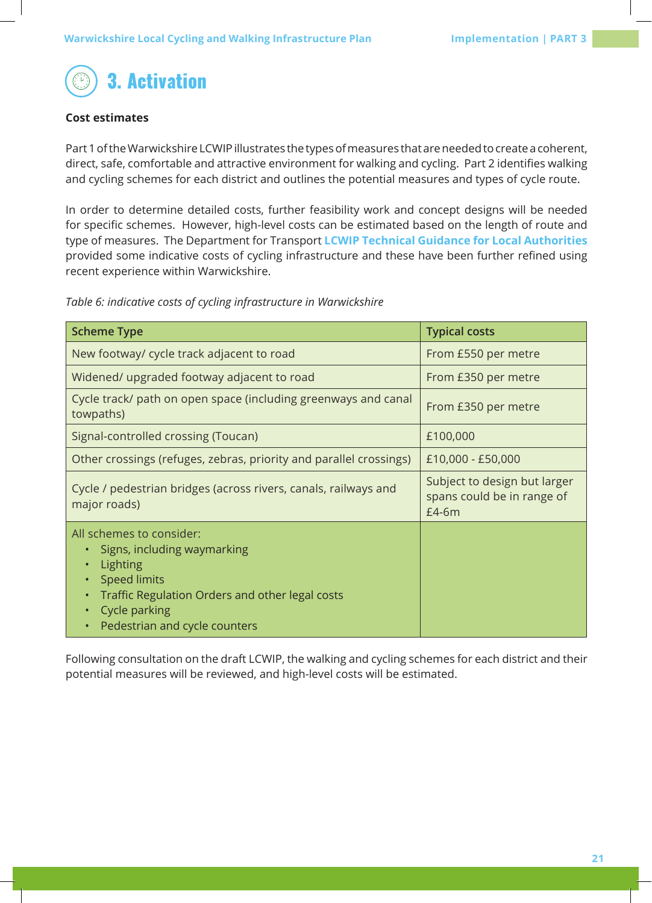

## **Cost estimates**

Part 1 of the Warwickshire LCWIP illustrates the types of measures that are needed to create a coherent, direct, safe, comfortable and attractive environment for walking and cycling. Part 2 identifies walking and cycling schemes for each district and outlines the potential measures and types of cycle route.

In order to determine detailed costs, further feasibility work and concept designs will be needed for specific schemes. However, high-level costs can be estimated based on the length of route and type of measures. The Department for Transport **LCWIP Technical Guidance for Local Authorities** provided some indicative costs of cycling infrastructure and these have been further refined using recent experience within Warwickshire.

*Table 6: indicative costs of cycling infrastructure in Warwickshire*

| <b>Scheme Type</b>                                                                                                                                                                                           | <b>Typical costs</b>                                                |
|--------------------------------------------------------------------------------------------------------------------------------------------------------------------------------------------------------------|---------------------------------------------------------------------|
| New footway/ cycle track adjacent to road                                                                                                                                                                    | From £550 per metre                                                 |
| Widened/upgraded footway adjacent to road                                                                                                                                                                    | From £350 per metre                                                 |
| Cycle track/ path on open space (including greenways and canal<br>towpaths)                                                                                                                                  | From £350 per metre                                                 |
| Signal-controlled crossing (Toucan)                                                                                                                                                                          | £100,000                                                            |
| Other crossings (refuges, zebras, priority and parallel crossings)                                                                                                                                           | £10,000 - £50,000                                                   |
| Cycle / pedestrian bridges (across rivers, canals, railways and<br>major roads)                                                                                                                              | Subject to design but larger<br>spans could be in range of<br>£4-6m |
| All schemes to consider:<br>Signs, including waymarking<br>Lighting<br>$\bullet$<br><b>Speed limits</b><br>Traffic Regulation Orders and other legal costs<br>Cycle parking<br>Pedestrian and cycle counters |                                                                     |

Following consultation on the draft LCWIP, the walking and cycling schemes for each district and their potential measures will be reviewed, and high-level costs will be estimated.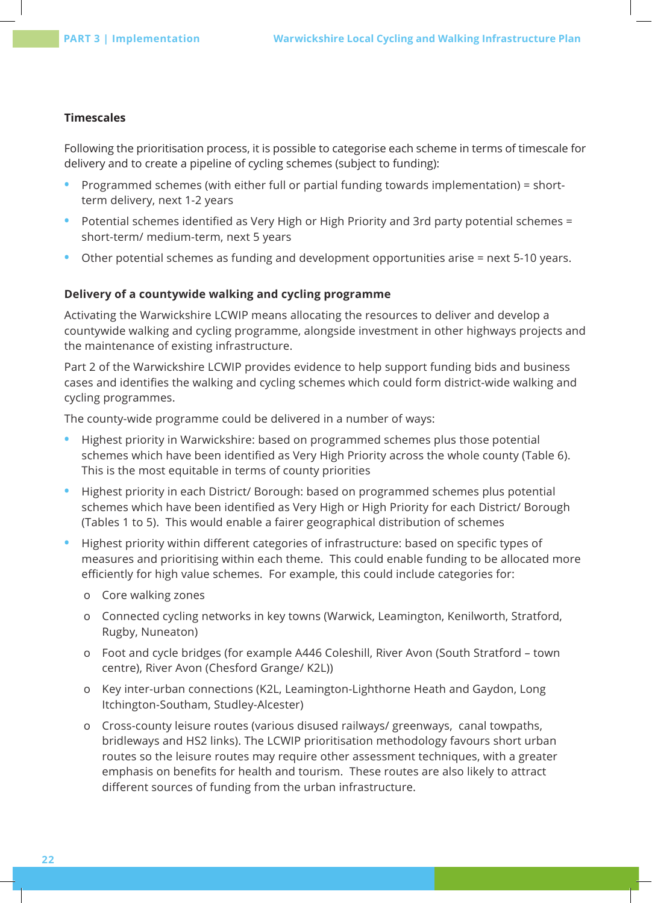#### **Timescales**

Following the prioritisation process, it is possible to categorise each scheme in terms of timescale for delivery and to create a pipeline of cycling schemes (subject to funding):

- **•** Programmed schemes (with either full or partial funding towards implementation) = shortterm delivery, next 1-2 years
- **•** Potential schemes identified as Very High or High Priority and 3rd party potential schemes = short-term/ medium-term, next 5 years
- **•** Other potential schemes as funding and development opportunities arise = next 5-10 years.

## **Delivery of a countywide walking and cycling programme**

Activating the Warwickshire LCWIP means allocating the resources to deliver and develop a countywide walking and cycling programme, alongside investment in other highways projects and the maintenance of existing infrastructure.

Part 2 of the Warwickshire LCWIP provides evidence to help support funding bids and business cases and identifies the walking and cycling schemes which could form district-wide walking and cycling programmes.

The county-wide programme could be delivered in a number of ways:

- **•** Highest priority in Warwickshire: based on programmed schemes plus those potential schemes which have been identified as Very High Priority across the whole county (Table 6). This is the most equitable in terms of county priorities
- **•** Highest priority in each District/ Borough: based on programmed schemes plus potential schemes which have been identified as Very High or High Priority for each District/ Borough (Tables 1 to 5). This would enable a fairer geographical distribution of schemes
- **•** Highest priority within different categories of infrastructure: based on specific types of measures and prioritising within each theme. This could enable funding to be allocated more efficiently for high value schemes. For example, this could include categories for:
	- o Core walking zones
	- o Connected cycling networks in key towns (Warwick, Leamington, Kenilworth, Stratford, Rugby, Nuneaton)
	- o Foot and cycle bridges (for example A446 Coleshill, River Avon (South Stratford town centre), River Avon (Chesford Grange/ K2L))
	- o Key inter-urban connections (K2L, Leamington-Lighthorne Heath and Gaydon, Long Itchington-Southam, Studley-Alcester)
	- o Cross-county leisure routes (various disused railways/ greenways, canal towpaths, bridleways and HS2 links). The LCWIP prioritisation methodology favours short urban routes so the leisure routes may require other assessment techniques, with a greater emphasis on benefits for health and tourism. These routes are also likely to attract different sources of funding from the urban infrastructure.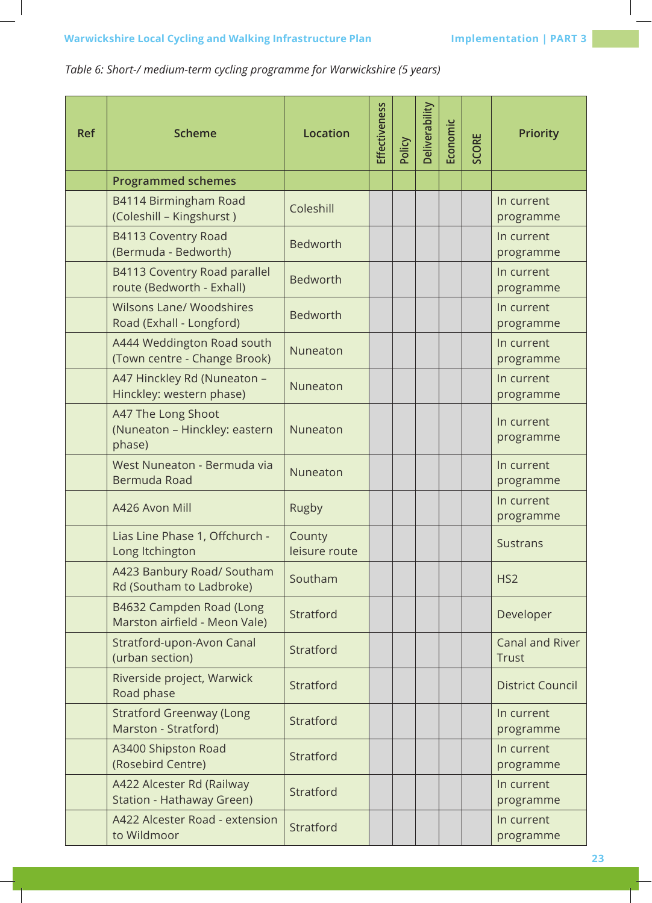*Table 6: Short-/ medium-term cycling programme for Warwickshire (5 years)*

| <b>Ref</b> | <b>Scheme</b>                                                    | Location                | Effectiveness | Policy | Deliverability | Economic | SCORE | <b>Priority</b>                        |
|------------|------------------------------------------------------------------|-------------------------|---------------|--------|----------------|----------|-------|----------------------------------------|
|            | <b>Programmed schemes</b>                                        |                         |               |        |                |          |       |                                        |
|            | B4114 Birmingham Road<br>(Coleshill - Kingshurst)                | Coleshill               |               |        |                |          |       | In current<br>programme                |
|            | B4113 Coventry Road<br>(Bermuda - Bedworth)                      | <b>Bedworth</b>         |               |        |                |          |       | In current<br>programme                |
|            | <b>B4113 Coventry Road parallel</b><br>route (Bedworth - Exhall) | <b>Bedworth</b>         |               |        |                |          |       | In current<br>programme                |
|            | <b>Wilsons Lane/ Woodshires</b><br>Road (Exhall - Longford)      | <b>Bedworth</b>         |               |        |                |          |       | In current<br>programme                |
|            | A444 Weddington Road south<br>(Town centre - Change Brook)       | Nuneaton                |               |        |                |          |       | In current<br>programme                |
|            | A47 Hinckley Rd (Nuneaton -<br>Hinckley: western phase)          | Nuneaton                |               |        |                |          |       | In current<br>programme                |
|            | A47 The Long Shoot<br>(Nuneaton - Hinckley: eastern<br>phase)    | Nuneaton                |               |        |                |          |       | In current<br>programme                |
|            | West Nuneaton - Bermuda via<br>Bermuda Road                      | Nuneaton                |               |        |                |          |       | In current<br>programme                |
|            | A426 Avon Mill                                                   | Rugby                   |               |        |                |          |       | In current<br>programme                |
|            | Lias Line Phase 1, Offchurch -<br>Long Itchington                | County<br>leisure route |               |        |                |          |       | <b>Sustrans</b>                        |
|            | A423 Banbury Road/ Southam<br>Rd (Southam to Ladbroke)           | Southam                 |               |        |                |          |       | HS <sub>2</sub>                        |
|            | B4632 Campden Road (Long<br>Marston airfield - Meon Vale)        | Stratford               |               |        |                |          |       | Developer                              |
|            | Stratford-upon-Avon Canal<br>(urban section)                     | Stratford               |               |        |                |          |       | <b>Canal and River</b><br><b>Trust</b> |
|            | Riverside project, Warwick<br>Road phase                         | Stratford               |               |        |                |          |       | <b>District Council</b>                |
|            | <b>Stratford Greenway (Long</b><br>Marston - Stratford)          | Stratford               |               |        |                |          |       | In current<br>programme                |
|            | A3400 Shipston Road<br>(Rosebird Centre)                         | Stratford               |               |        |                |          |       | In current<br>programme                |
|            | A422 Alcester Rd (Railway<br>Station - Hathaway Green)           | Stratford               |               |        |                |          |       | In current<br>programme                |
|            | A422 Alcester Road - extension<br>to Wildmoor                    | Stratford               |               |        |                |          |       | In current<br>programme                |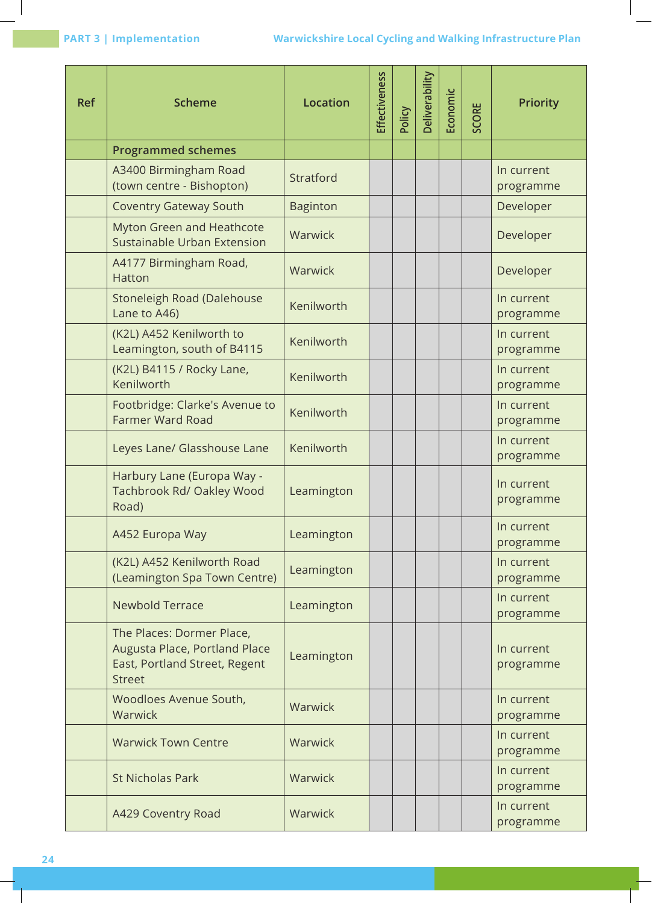| <b>Ref</b> | <b>Scheme</b>                                                                                                | <b>Location</b> | Effectiveness | Policy | <b>Deliverability</b> | Economic | <b>SCORE</b> | <b>Priority</b>         |
|------------|--------------------------------------------------------------------------------------------------------------|-----------------|---------------|--------|-----------------------|----------|--------------|-------------------------|
|            | <b>Programmed schemes</b>                                                                                    |                 |               |        |                       |          |              |                         |
|            | A3400 Birmingham Road<br>(town centre - Bishopton)                                                           | Stratford       |               |        |                       |          |              | In current<br>programme |
|            | <b>Coventry Gateway South</b>                                                                                | <b>Baginton</b> |               |        |                       |          |              | Developer               |
|            | Myton Green and Heathcote<br>Sustainable Urban Extension                                                     | Warwick         |               |        |                       |          |              | Developer               |
|            | A4177 Birmingham Road,<br>Hatton                                                                             | Warwick         |               |        |                       |          |              | Developer               |
|            | Stoneleigh Road (Dalehouse<br>Lane to A46)                                                                   | Kenilworth      |               |        |                       |          |              | In current<br>programme |
|            | (K2L) A452 Kenilworth to<br>Leamington, south of B4115                                                       | Kenilworth      |               |        |                       |          |              | In current<br>programme |
|            | (K2L) B4115 / Rocky Lane,<br>Kenilworth                                                                      | Kenilworth      |               |        |                       |          |              | In current<br>programme |
|            | Footbridge: Clarke's Avenue to<br><b>Farmer Ward Road</b>                                                    | Kenilworth      |               |        |                       |          |              | In current<br>programme |
|            | Leyes Lane/ Glasshouse Lane                                                                                  | Kenilworth      |               |        |                       |          |              | In current<br>programme |
|            | Harbury Lane (Europa Way -<br>Tachbrook Rd/ Oakley Wood<br>Road)                                             | Leamington      |               |        |                       |          |              | In current<br>programme |
|            | A452 Europa Way                                                                                              | Leamington      |               |        |                       |          |              | In current<br>programme |
|            | (K2L) A452 Kenilworth Road<br>(Leamington Spa Town Centre)                                                   | Leamington      |               |        |                       |          |              | In current<br>programme |
|            | <b>Newbold Terrace</b>                                                                                       | Leamington      |               |        |                       |          |              | In current<br>programme |
|            | The Places: Dormer Place,<br>Augusta Place, Portland Place<br>East, Portland Street, Regent<br><b>Street</b> | Leamington      |               |        |                       |          |              | In current<br>programme |
|            | Woodloes Avenue South,<br>Warwick                                                                            | Warwick         |               |        |                       |          |              | In current<br>programme |
|            | <b>Warwick Town Centre</b>                                                                                   | Warwick         |               |        |                       |          |              | In current<br>programme |
|            | <b>St Nicholas Park</b>                                                                                      | Warwick         |               |        |                       |          |              | In current<br>programme |
|            | A429 Coventry Road                                                                                           | Warwick         |               |        |                       |          |              | In current<br>programme |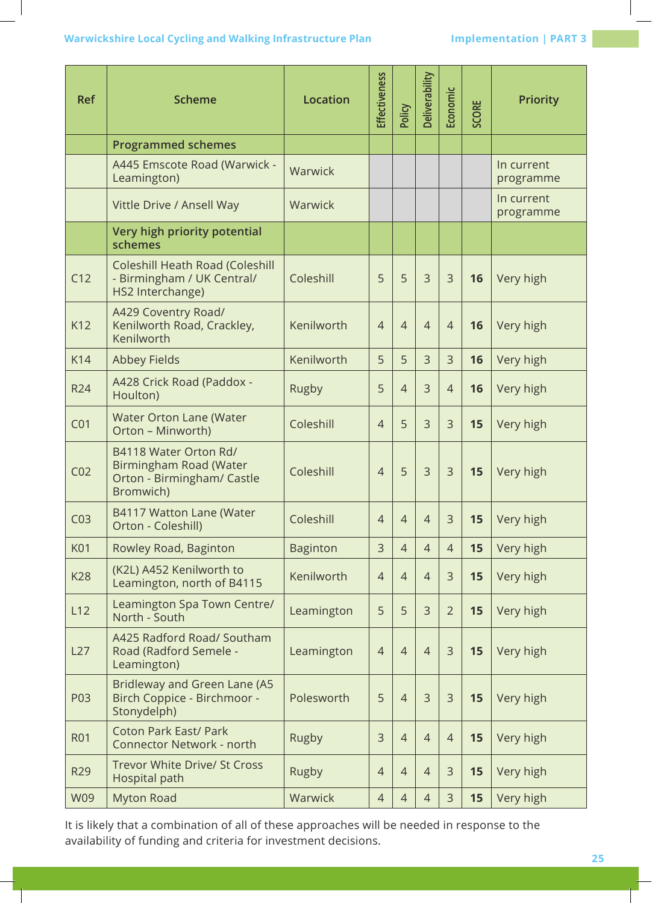## **Warwickshire Local Cycling and Walking Infrastructure Plan Implementation | PART 3**

| <b>Ref</b>      | <b>Scheme</b>                                                                              | <b>Location</b> | <b>Effectiveness</b> | Policy         | Deliverability | Economic       | <b>SCORE</b> | <b>Priority</b>         |
|-----------------|--------------------------------------------------------------------------------------------|-----------------|----------------------|----------------|----------------|----------------|--------------|-------------------------|
|                 | <b>Programmed schemes</b>                                                                  |                 |                      |                |                |                |              |                         |
|                 | A445 Emscote Road (Warwick -<br>Leamington)                                                | Warwick         |                      |                |                |                |              | In current<br>programme |
|                 | Vittle Drive / Ansell Way                                                                  | Warwick         |                      |                |                |                |              | In current<br>programme |
|                 | Very high priority potential<br>schemes                                                    |                 |                      |                |                |                |              |                         |
| C12             | Coleshill Heath Road (Coleshill<br>- Birmingham / UK Central/<br>HS2 Interchange)          | Coleshill       | 5                    | 5              | $\overline{3}$ | $\overline{3}$ | 16           | Very high               |
| K12             | A429 Coventry Road/<br>Kenilworth Road, Crackley,<br>Kenilworth                            | Kenilworth      | $\overline{4}$       | $\overline{4}$ | $\overline{4}$ | $\overline{4}$ | 16           | Very high               |
| K14             | <b>Abbey Fields</b>                                                                        | Kenilworth      | 5                    | 5              | $\overline{3}$ | 3              | 16           | Very high               |
| <b>R24</b>      | A428 Crick Road (Paddox -<br>Houlton)                                                      | Rugby           | 5                    | $\overline{4}$ | 3              | $\overline{4}$ | 16           | Very high               |
| CO <sub>1</sub> | Water Orton Lane (Water<br>Orton - Minworth)                                               | Coleshill       | $\overline{4}$       | 5              | $\overline{3}$ | 3              | 15           | Very high               |
| CO <sub>2</sub> | B4118 Water Orton Rd/<br>Birmingham Road (Water<br>Orton - Birmingham/ Castle<br>Bromwich) | Coleshill       | $\overline{4}$       | 5              | $\overline{3}$ | 3              | 15           | Very high               |
| CO <sub>3</sub> | B4117 Watton Lane (Water<br>Orton - Coleshill)                                             | Coleshill       | $\overline{4}$       | $\overline{4}$ | $\overline{4}$ | $\mathsf 3$    | 15           | Very high               |
| <b>K01</b>      | Rowley Road, Baginton                                                                      | <b>Baginton</b> | 3                    | $\overline{4}$ | $\overline{4}$ | $\overline{4}$ | 15           | Very high               |
| <b>K28</b>      | (K2L) A452 Kenilworth to<br>Leamington, north of B4115                                     | Kenilworth      | $\overline{4}$       | $\overline{4}$ | $\overline{4}$ | 3              | 15           | Very high               |
| L12             | Leamington Spa Town Centre/<br>North - South                                               | Leamington      | 5                    | 5              | $\overline{3}$ | $\overline{2}$ | 15           | Very high               |
| L27             | A425 Radford Road/ Southam<br>Road (Radford Semele -<br>Leamington)                        | Leamington      | $\overline{4}$       | $\overline{4}$ | $\overline{4}$ | 3              | 15           | Very high               |
| P03             | Bridleway and Green Lane (A5<br>Birch Coppice - Birchmoor -<br>Stonydelph)                 | Polesworth      | 5                    | $\overline{4}$ | 3              | 3              | 15           | Very high               |
| <b>R01</b>      | <b>Coton Park East/ Park</b><br><b>Connector Network - north</b>                           | Rugby           | 3                    | $\overline{4}$ | $\overline{4}$ | $\overline{4}$ | 15           | Very high               |
| R29             | Trevor White Drive/ St Cross<br><b>Hospital path</b>                                       | Rugby           | $\overline{4}$       | $\overline{4}$ | $\overline{4}$ | 3              | 15           | Very high               |
| <b>W09</b>      | <b>Myton Road</b>                                                                          | Warwick         | $\overline{4}$       | $\overline{4}$ | $\overline{4}$ | 3              | 15           | Very high               |

It is likely that a combination of all of these approaches will be needed in response to the availability of funding and criteria for investment decisions.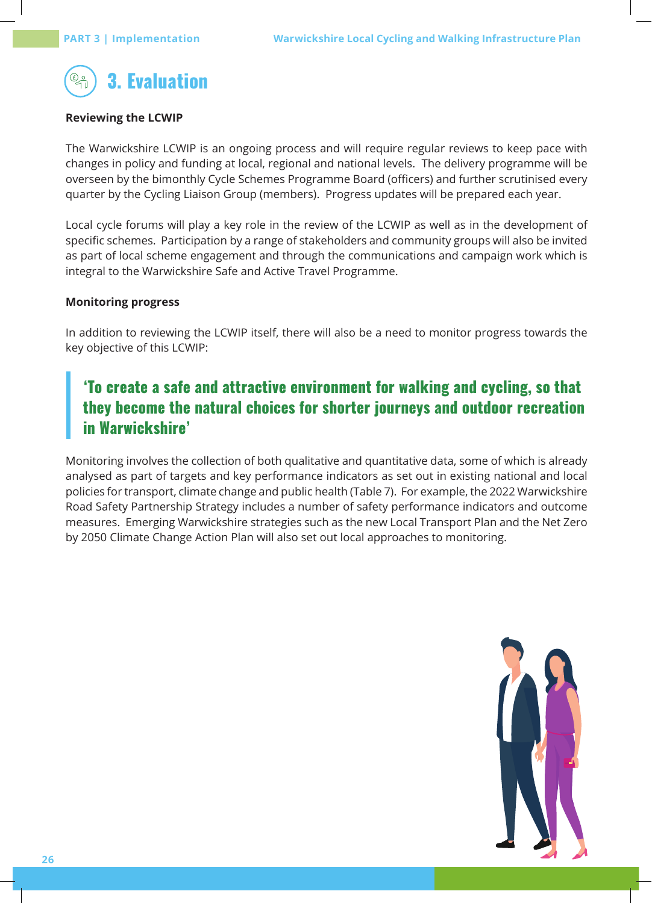

## **Reviewing the LCWIP**

The Warwickshire LCWIP is an ongoing process and will require regular reviews to keep pace with changes in policy and funding at local, regional and national levels. The delivery programme will be overseen by the bimonthly Cycle Schemes Programme Board (officers) and further scrutinised every quarter by the Cycling Liaison Group (members). Progress updates will be prepared each year.

Local cycle forums will play a key role in the review of the LCWIP as well as in the development of specific schemes. Participation by a range of stakeholders and community groups will also be invited as part of local scheme engagement and through the communications and campaign work which is integral to the Warwickshire Safe and Active Travel Programme.

## **Monitoring progress**

In addition to reviewing the LCWIP itself, there will also be a need to monitor progress towards the key objective of this LCWIP:

# 'To create a safe and attractive environment for walking and cycling, so that they become the natural choices for shorter journeys and outdoor recreation in Warwickshire'

Monitoring involves the collection of both qualitative and quantitative data, some of which is already analysed as part of targets and key performance indicators as set out in existing national and local policies for transport, climate change and public health (Table 7). For example, the 2022 Warwickshire Road Safety Partnership Strategy includes a number of safety performance indicators and outcome measures. Emerging Warwickshire strategies such as the new Local Transport Plan and the Net Zero by 2050 Climate Change Action Plan will also set out local approaches to monitoring.

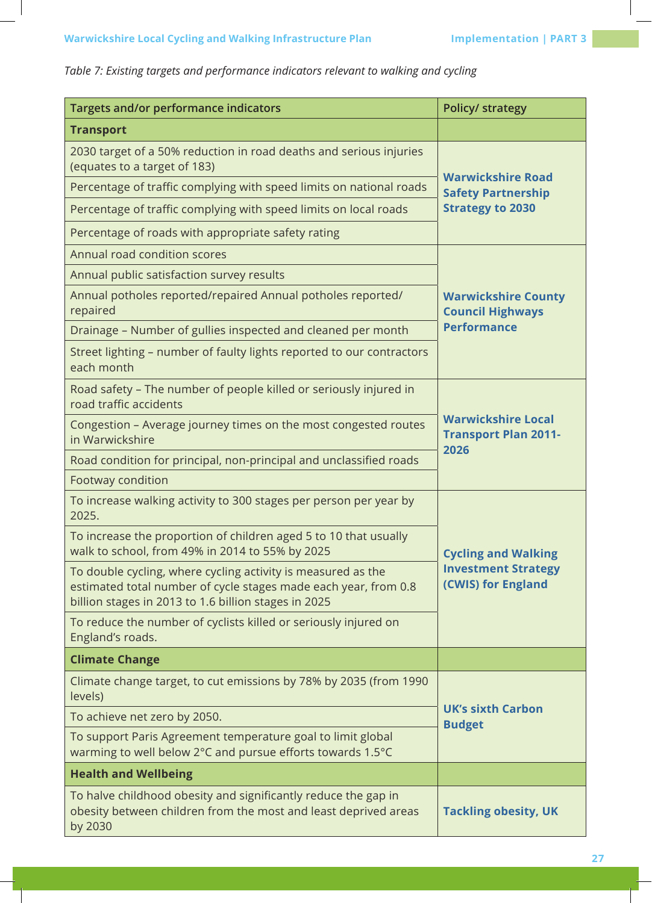| Targets and/or performance indicators                                                                                                                                                   | <b>Policy/ strategy</b>                                          |  |  |  |
|-----------------------------------------------------------------------------------------------------------------------------------------------------------------------------------------|------------------------------------------------------------------|--|--|--|
| <b>Transport</b>                                                                                                                                                                        |                                                                  |  |  |  |
| 2030 target of a 50% reduction in road deaths and serious injuries<br>(equates to a target of 183)                                                                                      |                                                                  |  |  |  |
| Percentage of traffic complying with speed limits on national roads                                                                                                                     | <b>Warwickshire Road</b><br><b>Safety Partnership</b>            |  |  |  |
| Percentage of traffic complying with speed limits on local roads                                                                                                                        | <b>Strategy to 2030</b>                                          |  |  |  |
| Percentage of roads with appropriate safety rating                                                                                                                                      |                                                                  |  |  |  |
| Annual road condition scores                                                                                                                                                            |                                                                  |  |  |  |
| Annual public satisfaction survey results                                                                                                                                               |                                                                  |  |  |  |
| Annual potholes reported/repaired Annual potholes reported/<br>repaired                                                                                                                 | <b>Warwickshire County</b><br><b>Council Highways</b>            |  |  |  |
| Drainage - Number of gullies inspected and cleaned per month                                                                                                                            | <b>Performance</b>                                               |  |  |  |
| Street lighting - number of faulty lights reported to our contractors<br>each month                                                                                                     |                                                                  |  |  |  |
| Road safety - The number of people killed or seriously injured in<br>road traffic accidents                                                                                             |                                                                  |  |  |  |
| Congestion - Average journey times on the most congested routes<br>in Warwickshire                                                                                                      | <b>Warwickshire Local</b><br><b>Transport Plan 2011-</b><br>2026 |  |  |  |
| Road condition for principal, non-principal and unclassified roads                                                                                                                      |                                                                  |  |  |  |
| Footway condition                                                                                                                                                                       |                                                                  |  |  |  |
| To increase walking activity to 300 stages per person per year by<br>2025.                                                                                                              |                                                                  |  |  |  |
| To increase the proportion of children aged 5 to 10 that usually<br>walk to school, from 49% in 2014 to 55% by 2025                                                                     | <b>Cycling and Walking</b>                                       |  |  |  |
| To double cycling, where cycling activity is measured as the<br>estimated total number of cycle stages made each year, from 0.8<br>billion stages in 2013 to 1.6 billion stages in 2025 | <b>Investment Strategy</b><br>(CWIS) for England                 |  |  |  |
| To reduce the number of cyclists killed or seriously injured on<br>England's roads.                                                                                                     |                                                                  |  |  |  |
| <b>Climate Change</b>                                                                                                                                                                   |                                                                  |  |  |  |
| Climate change target, to cut emissions by 78% by 2035 (from 1990<br>levels)                                                                                                            |                                                                  |  |  |  |
| To achieve net zero by 2050.                                                                                                                                                            | <b>UK's sixth Carbon</b><br><b>Budget</b>                        |  |  |  |
| To support Paris Agreement temperature goal to limit global<br>warming to well below 2°C and pursue efforts towards 1.5°C                                                               |                                                                  |  |  |  |
| <b>Health and Wellbeing</b>                                                                                                                                                             |                                                                  |  |  |  |
| To halve childhood obesity and significantly reduce the gap in<br>obesity between children from the most and least deprived areas<br>by 2030                                            | <b>Tackling obesity, UK</b>                                      |  |  |  |

# *Table 7: Existing targets and performance indicators relevant to walking and cycling*